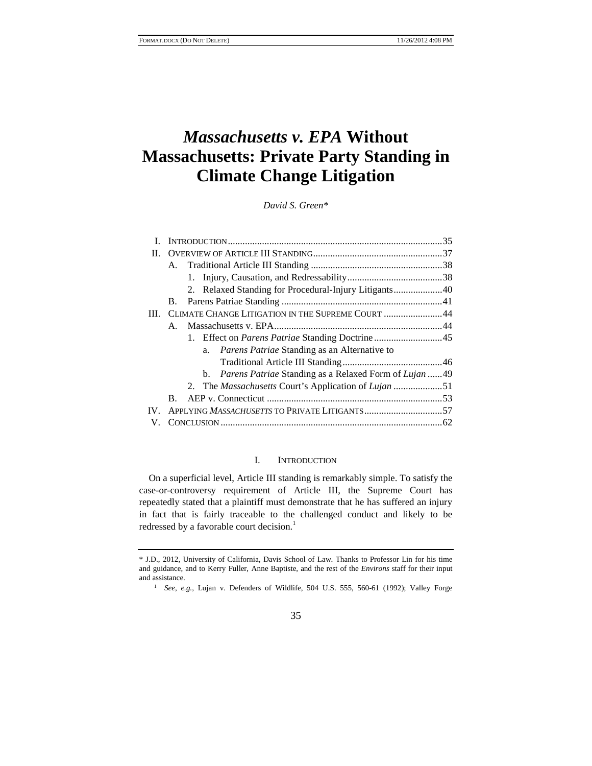# *Massachusetts v. EPA* **Without Massachusetts: Private Party Standing in Climate Change Litigation**

*David S. Green\** 

| П.                                                                 |  |
|--------------------------------------------------------------------|--|
|                                                                    |  |
|                                                                    |  |
| 2. Relaxed Standing for Procedural-Injury Litigants40              |  |
| В.                                                                 |  |
| CLIMATE CHANGE LITIGATION IN THE SUPREME COURT 44<br>III.          |  |
|                                                                    |  |
| 1. Effect on Parens Patriae Standing Doctrine45                    |  |
| <i>Parens Patriae</i> Standing as an Alternative to<br>a.          |  |
|                                                                    |  |
| b. <i>Parens Patriae</i> Standing as a Relaxed Form of Lujan 49    |  |
| 2. The <i>Massachusetts</i> Court's Application of <i>Lujan</i> 51 |  |
| В.                                                                 |  |
| $IV_{-}$                                                           |  |
|                                                                    |  |

# I. INTRODUCTION

On a superficial level, Article III standing is remarkably simple. To satisfy the case-or-controversy requirement of Article III, the Supreme Court has repeatedly stated that a plaintiff must demonstrate that he has suffered an injury in fact that is fairly traceable to the challenged conduct and likely to be redressed by a favorable court decision.<sup>1</sup>

35

<sup>\*</sup> J.D., 2012, University of California, Davis School of Law. Thanks to Professor Lin for his time and guidance, and to Kerry Fuller, Anne Baptiste, and the rest of the *Environs* staff for their input and assistance. 1 *See, e.g.*, Lujan v. Defenders of Wildlife, 504 U.S. 555, 560-61 (1992); Valley Forge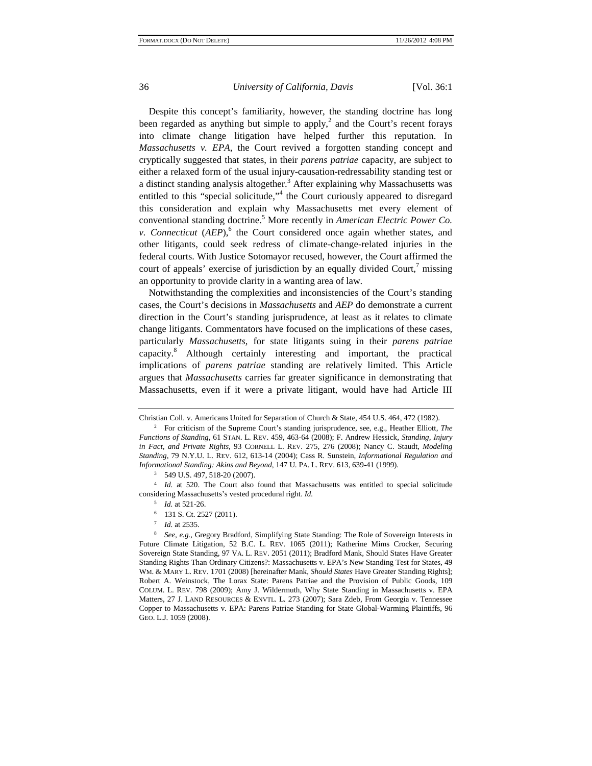Despite this concept's familiarity, however, the standing doctrine has long been regarded as anything but simple to apply,<sup>2</sup> and the Court's recent forays into climate change litigation have helped further this reputation. In *Massachusetts v. EPA*, the Court revived a forgotten standing concept and cryptically suggested that states, in their *parens patriae* capacity, are subject to either a relaxed form of the usual injury-causation-redressability standing test or a distinct standing analysis altogether.<sup>3</sup> After explaining why Massachusetts was entitled to this "special solicitude,"<sup>4</sup> the Court curiously appeared to disregard this consideration and explain why Massachusetts met every element of conventional standing doctrine.<sup>5</sup> More recently in *American Electric Power Co. v. Connecticut*  $(AEP)$ , <sup>6</sup> the Court considered once again whether states, and other litigants, could seek redress of climate-change-related injuries in the federal courts. With Justice Sotomayor recused, however, the Court affirmed the court of appeals' exercise of jurisdiction by an equally divided Court, $\frac{7}{1}$  missing an opportunity to provide clarity in a wanting area of law.

Notwithstanding the complexities and inconsistencies of the Court's standing cases, the Court's decisions in *Massachusetts* and *AEP* do demonstrate a current direction in the Court's standing jurisprudence, at least as it relates to climate change litigants. Commentators have focused on the implications of these cases, particularly *Massachusetts*, for state litigants suing in their *parens patriae* capacity.<sup>8</sup> Although certainly interesting and important, the practical implications of *parens patriae* standing are relatively limited. This Article argues that *Massachusetts* carries far greater significance in demonstrating that Massachusetts, even if it were a private litigant, would have had Article III

Christian Coll. v. Americans United for Separation of Church & State, 454 U.S. 464, 472 (1982).

<sup>2</sup> For criticism of the Supreme Court's standing jurisprudence, see, e.g., Heather Elliott, *The Functions of Standing*, 61 STAN. L. REV. 459, 463-64 (2008); F. Andrew Hessick, *Standing, Injury in Fact, and Private Rights*, 93 CORNELL L. REV. 275, 276 (2008); Nancy C. Staudt, *Modeling Standing*, 79 N.Y.U. L. REV. 612, 613-14 (2004); Cass R. Sunstein, *Informational Regulation and Informational Standing: Akins and Beyond*, 147 U. PA. L. REV. 613, 639-41 (1999). 3 549 U.S. 497, 518-20 (2007).

<sup>&</sup>lt;sup>4</sup> *Id.* at 520. The Court also found that Massachusetts was entitled to special solicitude considering Massachusetts's vested procedural right. *Id.* 5 *Id.* at 521-26. 6 131 S. Ct. 2527 (2011).

 $7$  *Id.* at 2535.

*See, e.g.*, Gregory Bradford, Simplifying State Standing: The Role of Sovereign Interests in Future Climate Litigation, 52 B.C. L. REV. 1065 (2011); Katherine Mims Crocker, Securing Sovereign State Standing, 97 VA. L. REV. 2051 (2011); Bradford Mank, Should States Have Greater Standing Rights Than Ordinary Citizens?: Massachusetts v. EPA's New Standing Test for States, 49 WM. & MARY L. REV. 1701 (2008) [hereinafter Mank, *Should States* Have Greater Standing Rights]; Robert A. Weinstock, The Lorax State: Parens Patriae and the Provision of Public Goods, 109 COLUM. L. REV. 798 (2009); Amy J. Wildermuth, Why State Standing in Massachusetts v. EPA Matters, 27 J. LAND RESOURCES & ENVTL. L. 273 (2007); Sara Zdeb, From Georgia v. Tennessee Copper to Massachusetts v. EPA: Parens Patriae Standing for State Global-Warming Plaintiffs, 96 GEO. L.J. 1059 (2008).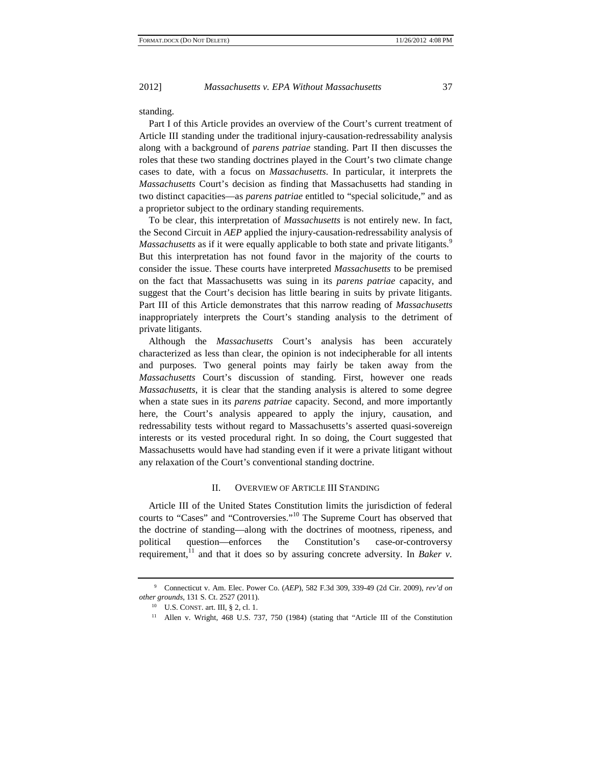standing.

Part I of this Article provides an overview of the Court's current treatment of Article III standing under the traditional injury-causation-redressability analysis along with a background of *parens patriae* standing. Part II then discusses the roles that these two standing doctrines played in the Court's two climate change cases to date, with a focus on *Massachusetts*. In particular, it interprets the *Massachusetts* Court's decision as finding that Massachusetts had standing in two distinct capacities—as *parens patriae* entitled to "special solicitude," and as a proprietor subject to the ordinary standing requirements.

To be clear, this interpretation of *Massachusetts* is not entirely new. In fact, the Second Circuit in *AEP* applied the injury-causation-redressability analysis of *Massachusetts* as if it were equally applicable to both state and private litigants.<sup>9</sup> But this interpretation has not found favor in the majority of the courts to consider the issue. These courts have interpreted *Massachusetts* to be premised on the fact that Massachusetts was suing in its *parens patriae* capacity, and suggest that the Court's decision has little bearing in suits by private litigants. Part III of this Article demonstrates that this narrow reading of *Massachusetts* inappropriately interprets the Court's standing analysis to the detriment of private litigants.

Although the *Massachusetts* Court's analysis has been accurately characterized as less than clear, the opinion is not indecipherable for all intents and purposes. Two general points may fairly be taken away from the *Massachusetts* Court's discussion of standing. First, however one reads *Massachusetts*, it is clear that the standing analysis is altered to some degree when a state sues in its *parens patriae* capacity. Second, and more importantly here, the Court's analysis appeared to apply the injury, causation, and redressability tests without regard to Massachusetts's asserted quasi-sovereign interests or its vested procedural right. In so doing, the Court suggested that Massachusetts would have had standing even if it were a private litigant without any relaxation of the Court's conventional standing doctrine.

#### II. OVERVIEW OF ARTICLE III STANDING

Article III of the United States Constitution limits the jurisdiction of federal courts to "Cases" and "Controversies."10 The Supreme Court has observed that the doctrine of standing—along with the doctrines of mootness, ripeness, and political question—enforces the Constitution's case-or-controversy requirement,<sup>11</sup> and that it does so by assuring concrete adversity. In *Baker v.* 

<sup>9</sup> Connecticut v. Am. Elec. Power Co. (*AEP*), 582 F.3d 309, 339-49 (2d Cir. 2009), *rev'd on other grounds*, 131 S. Ct. 2527 (2011).<br><sup>10</sup> U.S. CONST. art. III, § 2, cl. 1.<br><sup>11</sup> Allen v. Wright, 468 U.S. 737, 750 (1984) (stating that "Article III of the Constitution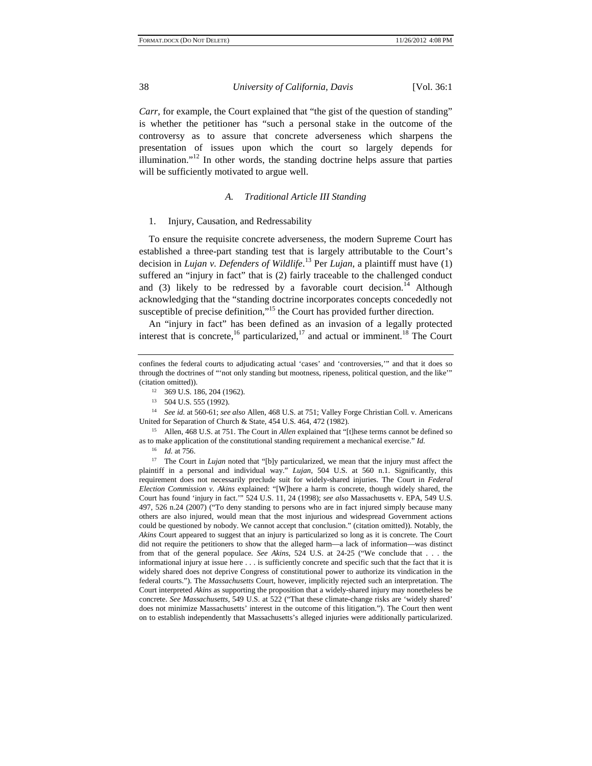*Carr*, for example, the Court explained that "the gist of the question of standing" is whether the petitioner has "such a personal stake in the outcome of the controversy as to assure that concrete adverseness which sharpens the presentation of issues upon which the court so largely depends for illumination."<sup>12</sup> In other words, the standing doctrine helps assure that parties will be sufficiently motivated to argue well.

# *A. Traditional Article III Standing*

# 1. Injury, Causation, and Redressability

To ensure the requisite concrete adverseness, the modern Supreme Court has established a three-part standing test that is largely attributable to the Court's decision in *Lujan v. Defenders of Wildlife*. 13 Per *Lujan*, a plaintiff must have (1) suffered an "injury in fact" that is (2) fairly traceable to the challenged conduct and  $(3)$  likely to be redressed by a favorable court decision.<sup>14</sup> Although acknowledging that the "standing doctrine incorporates concepts concededly not susceptible of precise definition,"<sup>15</sup> the Court has provided further direction.

An "injury in fact" has been defined as an invasion of a legally protected interest that is concrete,<sup>16</sup> particularized,<sup>17</sup> and actual or imminent.<sup>18</sup> The Court

14 *See id.* at 560-61; *see also* Allen, 468 U.S. at 751; Valley Forge Christian Coll. v. Americans United for Separation of Church & State, 454 U.S. 464, 472 (1982). 15 Allen, 468 U.S. at 751. The Court in *Allen* explained that "[t]hese terms cannot be defined so

as to make application of the constitutional standing requirement a mechanical exercise." *Id.*

<sup>16</sup>*Id.* at 756. 17 The Court in *Lujan* noted that "[b]y particularized, we mean that the injury must affect the plaintiff in a personal and individual way." *Lujan*, 504 U.S. at 560 n.1. Significantly, this requirement does not necessarily preclude suit for widely-shared injuries. The Court in *Federal Election Commission v. Akins* explained: "[W]here a harm is concrete, though widely shared, the Court has found 'injury in fact.'" 524 U.S. 11, 24 (1998); *see also* Massachusetts v. EPA, 549 U.S. 497, 526 n.24 (2007) ("To deny standing to persons who are in fact injured simply because many others are also injured, would mean that the most injurious and widespread Government actions could be questioned by nobody. We cannot accept that conclusion." (citation omitted)). Notably, the *Akins* Court appeared to suggest that an injury is particularized so long as it is concrete. The Court did not require the petitioners to show that the alleged harm—a lack of information—was distinct from that of the general populace. *See Akins*, 524 U.S. at 24-25 ("We conclude that . . . the informational injury at issue here . . . is sufficiently concrete and specific such that the fact that it is widely shared does not deprive Congress of constitutional power to authorize its vindication in the federal courts."). The *Massachusetts* Court, however, implicitly rejected such an interpretation. The Court interpreted *Akins* as supporting the proposition that a widely-shared injury may nonetheless be concrete. *See Massachusetts*, 549 U.S. at 522 ("That these climate-change risks are 'widely shared' does not minimize Massachusetts' interest in the outcome of this litigation."). The Court then went on to establish independently that Massachusetts's alleged injuries were additionally particularized.

confines the federal courts to adjudicating actual 'cases' and 'controversies,'" and that it does so through the doctrines of "'not only standing but mootness, ripeness, political question, and the like'" (citation omitted)). 12 369 U.S. 186, 204 (1962).

<sup>13 504</sup> U.S. 555 (1992).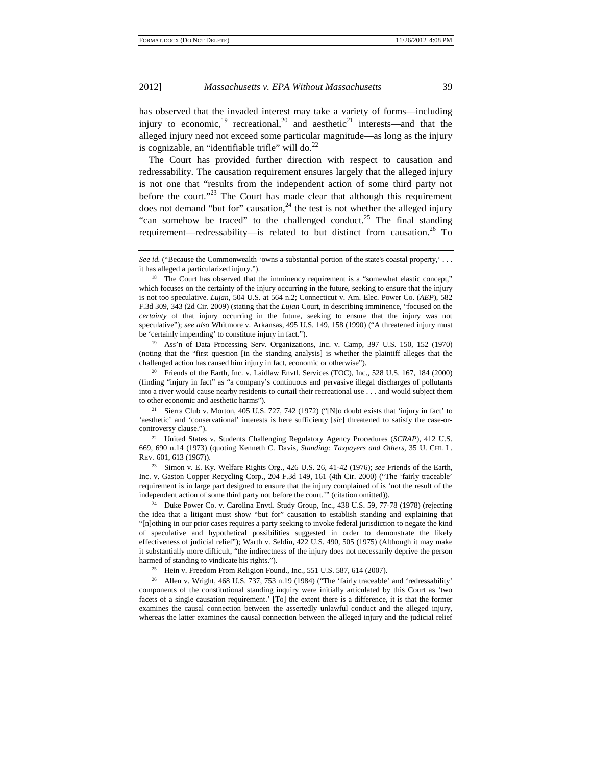has observed that the invaded interest may take a variety of forms—including injury to economic,<sup>19</sup> recreational,<sup>20</sup> and aesthetic<sup>21</sup> interests—and that the alleged injury need not exceed some particular magnitude—as long as the injury is cognizable, an "identifiable trifle" will do. $^{22}$ 

The Court has provided further direction with respect to causation and redressability. The causation requirement ensures largely that the alleged injury is not one that "results from the independent action of some third party not before the court."<sup>23</sup> The Court has made clear that although this requirement does not demand "but for" causation, $^{24}$  the test is not whether the alleged injury "can somehow be traced" to the challenged conduct.<sup>25</sup> The final standing requirement—redressability—is related to but distinct from causation.<sup>26</sup> To

(noting that the "first question [in the standing analysis] is whether the plaintiff alleges that the challenged action has caused him injury in fact, economic or otherwise").

20 Friends of the Earth, Inc. v. Laidlaw Envtl. Services (TOC), Inc.*,* 528 U.S. 167, 184 (2000) (finding "injury in fact" as "a company's continuous and pervasive illegal discharges of pollutants into a river would cause nearby residents to curtail their recreational use . . . and would subject them to other economic and aesthetic harms").

<sup>21</sup> Sierra Club v. Morton, 405 U.S. 727, 742 (1972) ("[N]o doubt exists that 'injury in fact' to 'aesthetic' and 'conservational' interests is here sufficienty [*sic*] threatened to satisfy the case-orcontroversy clause."). 22 United States v. Students Challenging Regulatory Agency Procedures (*SCRAP*), 412 U.S.

669, 690 n.14 (1973) (quoting Kenneth C. Davis, *Standing: Taxpayers and Others*, 35 U. CHI. L. REV. 601, 613 (1967)).

23 Simon v. E. Ky. Welfare Rights Org., 426 U.S. 26, 41-42 (1976); *see* Friends of the Earth, Inc. v. Gaston Copper Recycling Corp., 204 F.3d 149, 161 (4th Cir. 2000) ("The 'fairly traceable' requirement is in large part designed to ensure that the injury complained of is 'not the result of the independent action of some third party not before the court.'" (citation omitted)).<br><sup>24</sup> Duke Power Co. v. Carolina Envtl. Study Group, Inc., 438 U.S. 59, 77-78 (1978) (rejecting

the idea that a litigant must show "but for" causation to establish standing and explaining that "[n]othing in our prior cases requires a party seeking to invoke federal jurisdiction to negate the kind of speculative and hypothetical possibilities suggested in order to demonstrate the likely effectiveness of judicial relief"); Warth v. Seldin, 422 U.S. 490, 505 (1975) (Although it may make it substantially more difficult, "the indirectness of the injury does not necessarily deprive the person harmed of standing to vindicate his rights.").<br><sup>25</sup> Hein v. Freedom From Religion Found., Inc., 551 U.S. 587, 614 (2007).<br><sup>26</sup> Allen v. Wright, 468 U.S. 737, 753 n.19 (1984) ("The 'fairly traceable' and 'redressability'

components of the constitutional standing inquiry were initially articulated by this Court as 'two facets of a single causation requirement.' [To] the extent there is a difference, it is that the former examines the causal connection between the assertedly unlawful conduct and the alleged injury, whereas the latter examines the causal connection between the alleged injury and the judicial relief

See id. ("Because the Commonwealth 'owns a substantial portion of the state's coastal property,' . . . it has alleged a particularized injury.").<br><sup>18</sup> The Court has observed that the imminency requirement is a "somewhat elastic concept,"

which focuses on the certainty of the injury occurring in the future, seeking to ensure that the injury is not too speculative. *Lujan*, 504 U.S. at 564 n.2; Connecticut v. Am. Elec. Power Co. (*AEP*), 582 F.3d 309, 343 (2d Cir. 2009) (stating that the *Lujan* Court, in describing imminence, "focused on the *certainty* of that injury occurring in the future, seeking to ensure that the injury was not speculative"); *see also* Whitmore v. Arkansas, 495 U.S. 149, 158 (1990) ("A threatened injury must be 'certainly impending' to constitute injury in fact.").<br><sup>19</sup> Ass'n of Data Processing Serv. Organizations, Inc. v. Camp, 397 U.S. 150, 152 (1970)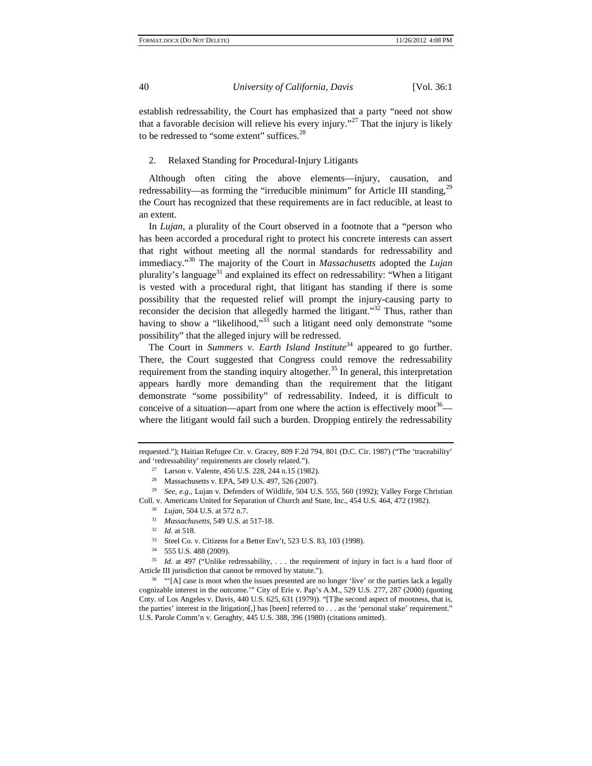establish redressability, the Court has emphasized that a party "need not show that a favorable decision will relieve his every injury."<sup>27</sup> That the injury is likely to be redressed to "some extent" suffices.<sup>28</sup>

# 2. Relaxed Standing for Procedural-Injury Litigants

Although often citing the above elements—injury, causation, and redressability—as forming the "irreducible minimum" for Article III standing,<sup>29</sup> the Court has recognized that these requirements are in fact reducible, at least to an extent.

In *Lujan*, a plurality of the Court observed in a footnote that a "person who has been accorded a procedural right to protect his concrete interests can assert that right without meeting all the normal standards for redressability and immediacy."30 The majority of the Court in *Massachusetts* adopted the *Lujan* plurality's language<sup>31</sup> and explained its effect on redressability: "When a litigant is vested with a procedural right, that litigant has standing if there is some possibility that the requested relief will prompt the injury-causing party to reconsider the decision that allegedly harmed the litigant."<sup>32</sup> Thus, rather than having to show a "likelihood,"<sup>33</sup> such a litigant need only demonstrate "some possibility" that the alleged injury will be redressed.

The Court in *Summers v. Earth Island Institute*<sup>34</sup> appeared to go further. There, the Court suggested that Congress could remove the redressability requirement from the standing inquiry altogether.<sup>35</sup> In general, this interpretation appears hardly more demanding than the requirement that the litigant demonstrate "some possibility" of redressability. Indeed, it is difficult to conceive of a situation—apart from one where the action is effectively moot<sup>36</sup> where the litigant would fail such a burden. Dropping entirely the redressability

- 
- $\frac{34}{35}$  555 U.S. 488 (2009).

Id. at 497 ("Unlike redressability, . . . the requirement of injury in fact is a hard floor of Article III jurisdiction that cannot be removed by statute.").<br><sup>36</sup> "'[A] case is moot when the issues presented are no longer 'live' or the parties lack a legally

cognizable interest in the outcome.'" City of Erie v. Pap's A.M., 529 U.S. 277, 287 (2000) (quoting Cnty. of Los Angeles v. Davis, 440 U.S. 625, 631 (1979)). "[T]he second aspect of mootness, that is, the parties' interest in the litigation[,] has [been] referred to . . . as the 'personal stake' requirement." U.S. Parole Comm'n v. Geraghty, 445 U.S. 388, 396 (1980) (citations omitted).

requested."); Haitian Refugee Ctr. v. Gracey, 809 F.2d 794, 801 (D.C. Cir. 1987) ("The 'traceability' and 'redressability' requirements are closely related."). 27 Larson v. Valente, 456 U.S. 228, 244 n.15 (1982).

<sup>28</sup> Massachusetts v. EPA, 549 U.S. 497, 526 (2007).

<sup>29</sup> *See, e.g.*, Lujan v. Defenders of Wildlife, 504 U.S. 555, 560 (1992); Valley Forge Christian Coll. v. Americans United for Separation of Church and State, Inc., 454 U.S. 464, 472 (1982).<br>
<sup>30</sup> *Lujan*, 504 U.S. at 572 n.7.<br>
<sup>31</sup> *Massachusetts*, 549 U.S. at 517-18.<br>
<sup>32</sup> *Id.* at 518.<br>
Steel Co. v. Citizens for a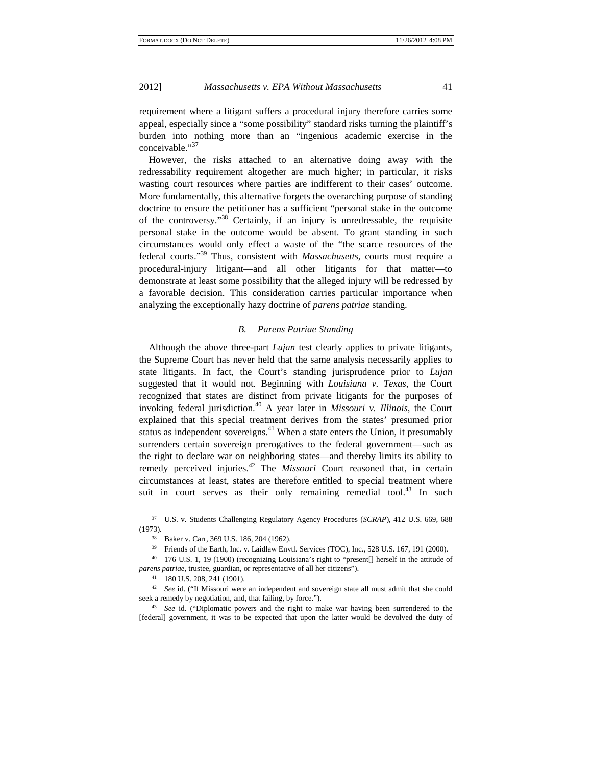requirement where a litigant suffers a procedural injury therefore carries some appeal, especially since a "some possibility" standard risks turning the plaintiff's burden into nothing more than an "ingenious academic exercise in the conceivable."37

However, the risks attached to an alternative doing away with the redressability requirement altogether are much higher; in particular, it risks wasting court resources where parties are indifferent to their cases' outcome. More fundamentally, this alternative forgets the overarching purpose of standing doctrine to ensure the petitioner has a sufficient "personal stake in the outcome of the controversy."38 Certainly, if an injury is unredressable, the requisite personal stake in the outcome would be absent. To grant standing in such circumstances would only effect a waste of the "the scarce resources of the federal courts."39 Thus, consistent with *Massachusetts*, courts must require a procedural-injury litigant—and all other litigants for that matter—to demonstrate at least some possibility that the alleged injury will be redressed by a favorable decision. This consideration carries particular importance when analyzing the exceptionally hazy doctrine of *parens patriae* standing.

# *B. Parens Patriae Standing*

Although the above three-part *Lujan* test clearly applies to private litigants, the Supreme Court has never held that the same analysis necessarily applies to state litigants. In fact, the Court's standing jurisprudence prior to *Lujan* suggested that it would not. Beginning with *Louisiana v. Texas*, the Court recognized that states are distinct from private litigants for the purposes of invoking federal jurisdiction.40 A year later in *Missouri v. Illinois*, the Court explained that this special treatment derives from the states' presumed prior status as independent sovereigns. $41$  When a state enters the Union, it presumably surrenders certain sovereign prerogatives to the federal government—such as the right to declare war on neighboring states—and thereby limits its ability to remedy perceived injuries.<sup>42</sup> The *Missouri* Court reasoned that, in certain circumstances at least, states are therefore entitled to special treatment where suit in court serves as their only remaining remedial tool.<sup>43</sup> In such

<sup>37</sup> U.S. v. Students Challenging Regulatory Agency Procedures (*SCRAP*), 412 U.S. 669, 688 (1973). 38 Baker v. Carr, 369 U.S. 186, 204 (1962).

<sup>&</sup>lt;sup>39</sup> Friends of the Earth, Inc. v. Laidlaw Envtl. Services (TOC), Inc., 528 U.S. 167, 191 (2000).

<sup>40 176</sup> U.S. 1, 19 (1900) (recognizing Louisiana's right to "present[] herself in the attitude of *parens patriae*, trustee, guardian, or representative of all her citizens").

<sup>41 180</sup> U.S. 208, 241 (1901).

<sup>42</sup> *See* id. ("If Missouri were an independent and sovereign state all must admit that she could seek a remedy by negotiation, and, that failing, by force."). 43 *See* id. ("Diplomatic powers and the right to make war having been surrendered to the

<sup>[</sup>federal] government, it was to be expected that upon the latter would be devolved the duty of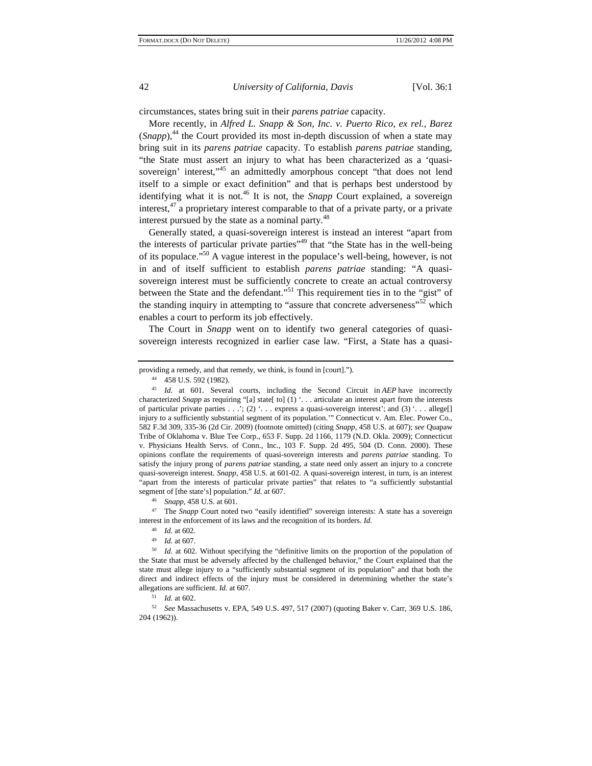circumstances, states bring suit in their *parens patriae* capacity.

More recently, in *Alfred L. Snapp & Son, Inc. v. Puerto Rico, ex rel., Barez*  $(Snapp)$ ,<sup>44</sup>, the Court provided its most in-depth discussion of when a state may bring suit in its *parens patriae* capacity. To establish *parens patriae* standing, "the State must assert an injury to what has been characterized as a 'quasisovereign' interest,<sup>145</sup> an admittedly amorphous concept "that does not lend itself to a simple or exact definition" and that is perhaps best understood by identifying what it is not.<sup>46</sup> It is not, the *Snapp* Court explained, a sovereign interest, $47$  a proprietary interest comparable to that of a private party, or a private interest pursued by the state as a nominal party.<sup>48</sup>

Generally stated, a quasi-sovereign interest is instead an interest "apart from the interests of particular private parties"<sup>49</sup> that "the State has in the well-being of its populace."50 A vague interest in the populace's well-being, however, is not in and of itself sufficient to establish *parens patriae* standing: "A quasisovereign interest must be sufficiently concrete to create an actual controversy between the State and the defendant."<sup>51</sup> This requirement ties in to the "gist" of the standing inquiry in attempting to "assure that concrete adverseness"<sup>52</sup> which enables a court to perform its job effectively.

The Court in *Snapp* went on to identify two general categories of quasisovereign interests recognized in earlier case law. "First, a State has a quasi-

providing a remedy, and that remedy, we think, is found in [court]."). 44 458 U.S. 592 (1982).

<sup>45</sup> *Id.* at 601. Several courts, including the Second Circuit in *AEP* have incorrectly characterized *Snapp* as requiring "[a] state[ to] (1) '... articulate an interest apart from the interests of particular private parties . . .'; (2) '. . . express a quasi-sovereign interest'; and (3) '. . . allege[] injury to a sufficiently substantial segment of its population." Connecticut v. Am. Elec. Power Co., 582 F.3d 309, 335-36 (2d Cir. 2009) (footnote omitted) (citing *Snapp*, 458 U.S. at 607); *see* Quapaw Tribe of Oklahoma v. Blue Tee Corp., 653 F. Supp. 2d 1166, 1179 (N.D. Okla. 2009); Connecticut v. Physicians Health Servs. of Conn., Inc., 103 F. Supp. 2d 495, 504 (D. Conn. 2000). These opinions conflate the requirements of quasi-sovereign interests and *parens patriae* standing. To satisfy the injury prong of *parens patriae* standing, a state need only assert an injury to a concrete quasi-sovereign interest. *Snapp*, 458 U.S. at 601-02. A quasi-sovereign interest, in turn, is an interest "apart from the interests of particular private parties" that relates to "a sufficiently substantial

segment of [the state's] population." *Id.* at 607.<br><sup>46</sup> *Snapp*, 458 U.S. at 601.<br><sup>47</sup> The *Snapp* Court noted two "easily identified" sovereign interests: A state has a sovereign

interest in the enforcement of its laws and the recognition of its borders. *Id.*<br><sup>48</sup> *Id.* at 602.<br><sup>49</sup> *Id.* at 607.<br>*50 Id.* at 602. Without specifying the "definitive limits on the proportion of the population of the State that must be adversely affected by the challenged behavior," the Court explained that the state must allege injury to a "sufficiently substantial segment of its population" and that both the direct and indirect effects of the injury must be considered in determining whether the state's allegations are sufficient. *Id.* at 607. 51 *Id.* at 602.

<sup>52</sup> *See* Massachusetts v. EPA, 549 U.S. 497, 517 (2007) (quoting Baker v. Carr, 369 U.S. 186, 204 (1962)).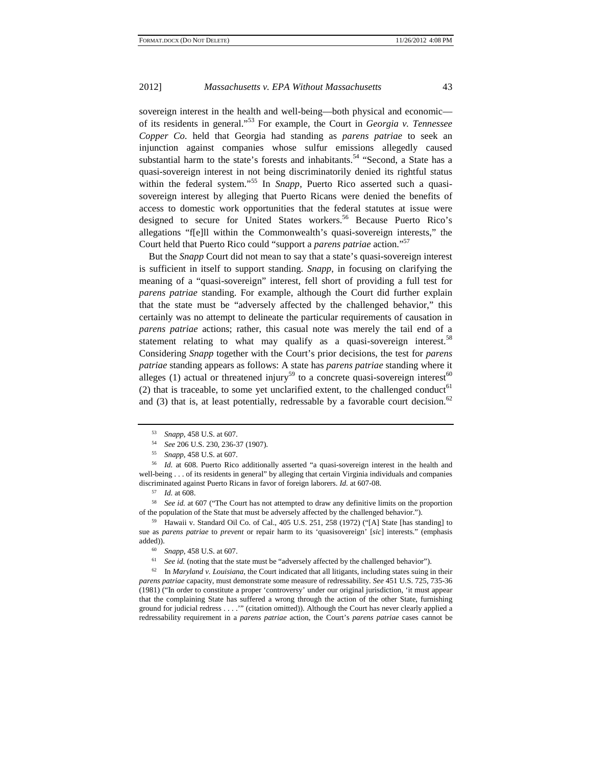sovereign interest in the health and well-being—both physical and economic of its residents in general."53 For example, the Court in *Georgia v. Tennessee Copper Co.* held that Georgia had standing as *parens patriae* to seek an injunction against companies whose sulfur emissions allegedly caused substantial harm to the state's forests and inhabitants.<sup>54</sup> "Second, a State has a quasi-sovereign interest in not being discriminatorily denied its rightful status within the federal system."<sup>55</sup> In *Snapp*, Puerto Rico asserted such a quasisovereign interest by alleging that Puerto Ricans were denied the benefits of access to domestic work opportunities that the federal statutes at issue were designed to secure for United States workers.<sup>56</sup> Because Puerto Rico's allegations "f[e]ll within the Commonwealth's quasi-sovereign interests," the Court held that Puerto Rico could "support a *parens patriae* action."<sup>57</sup>

But the *Snapp* Court did not mean to say that a state's quasi-sovereign interest is sufficient in itself to support standing. *Snapp*, in focusing on clarifying the meaning of a "quasi-sovereign" interest, fell short of providing a full test for *parens patriae* standing. For example, although the Court did further explain that the state must be "adversely affected by the challenged behavior," this certainly was no attempt to delineate the particular requirements of causation in *parens patriae* actions; rather, this casual note was merely the tail end of a statement relating to what may qualify as a quasi-sovereign interest.<sup>58</sup> Considering *Snapp* together with the Court's prior decisions, the test for *parens patriae* standing appears as follows: A state has *parens patriae* standing where it alleges (1) actual or threatened injury<sup>59</sup> to a concrete quasi-sovereign interest<sup>60</sup> (2) that is traceable, to some yet unclarified extent, to the challenged conduct<sup>61</sup> and (3) that is, at least potentially, redressable by a favorable court decision.<sup>62</sup>

58 *See id.* at 607 ("The Court has not attempted to draw any definitive limits on the proportion of the population of the State that must be adversely affected by the challenged behavior.").<br><sup>59</sup> Hawaii v. Standard Oil Co. of Cal., 405 U.S. 251, 258 (1972) ("[A] State [has standing] to

sue as *parens patriae* to *prevent* or repair harm to its 'quasisovereign' [*sic*] interests." (emphasis added)).<br>
<sup>60</sup> Snapp, 458 U.S. at 607.<br>
<sup>61</sup> See id. (noting that the state must be "adversely affected by the challenged behavior").<br>
<sup>61</sup> See id. (noting that the state must be "adversely affected by the challenged beha

*parens patriae* capacity, must demonstrate some measure of redressability. *See* 451 U.S. 725, 735-36 (1981) ("In order to constitute a proper 'controversy' under our original jurisdiction, 'it must appear that the complaining State has suffered a wrong through the action of the other State, furnishing ground for judicial redress . . . .'" (citation omitted)). Although the Court has never clearly applied a redressability requirement in a *parens patriae* action, the Court's *parens patriae* cases cannot be

<sup>53</sup>*Snapp*, 458 U.S. at 607. 54 *See* 206 U.S. 230, 236-37 (1907). 55 *Snapp*, 458 U.S. at 607. 56 *Id.* at 608. Puerto Rico additionally asserted "a quasi-sovereign interest in the health and well-being . . . of its residents in general" by alleging that certain Virginia individuals and companies discriminated against Puerto Ricans in favor of foreign laborers. *Id.* at 607-08. 57 *Id.* at 608.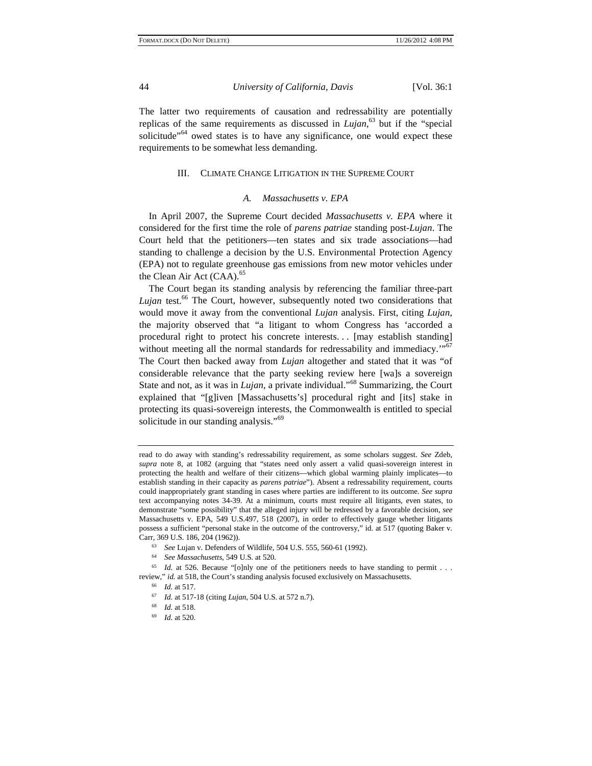The latter two requirements of causation and redressability are potentially replicas of the same requirements as discussed in *Lujan*, 63 but if the "special solicitude<sup>"64</sup> owed states is to have any significance, one would expect these requirements to be somewhat less demanding.

#### III. CLIMATE CHANGE LITIGATION IN THE SUPREME COURT

#### *A. Massachusetts v. EPA*

In April 2007, the Supreme Court decided *Massachusetts v. EPA* where it considered for the first time the role of *parens patriae* standing post-*Lujan*. The Court held that the petitioners—ten states and six trade associations—had standing to challenge a decision by the U.S. Environmental Protection Agency (EPA) not to regulate greenhouse gas emissions from new motor vehicles under the Clean Air Act (CAA).<sup>65</sup>

The Court began its standing analysis by referencing the familiar three-part *Lujan* test.<sup>66</sup> The Court, however, subsequently noted two considerations that would move it away from the conventional *Lujan* analysis. First, citing *Lujan*, the majority observed that "a litigant to whom Congress has 'accorded a procedural right to protect his concrete interests. . . [may establish standing] without meeting all the normal standards for redressability and immediacy."<sup>67</sup> The Court then backed away from *Lujan* altogether and stated that it was "of considerable relevance that the party seeking review here [wa]s a sovereign State and not, as it was in *Lujan*, a private individual."68 Summarizing, the Court explained that "[g]iven [Massachusetts's] procedural right and [its] stake in protecting its quasi-sovereign interests, the Commonwealth is entitled to special solicitude in our standing analysis."<sup>69</sup>

read to do away with standing's redressability requirement, as some scholars suggest. *See* Zdeb, *supra* note 8, at 1082 (arguing that "states need only assert a valid quasi-sovereign interest in protecting the health and welfare of their citizens—which global warming plainly implicates—to establish standing in their capacity as *parens patriae*"). Absent a redressability requirement, courts could inappropriately grant standing in cases where parties are indifferent to its outcome. *See supra* text accompanying notes 34-39. At a minimum, courts must require all litigants, even states, to demonstrate "some possibility" that the alleged injury will be redressed by a favorable decision, *see* Massachusetts v. EPA, 549 U.S.497, 518 (2007), in order to effectively gauge whether litigants possess a sufficient "personal stake in the outcome of the controversy," id. at 517 (quoting Baker v. Carr*,* 369 U.S. 186, 204 (1962)).

<sup>63</sup>*See* Lujan v. Defenders of Wildlife, 504 U.S. 555, 560-61 (1992). 64 *See Massachusetts*, 549 U.S. at 520.

<sup>&</sup>lt;sup>65</sup> *Id.* at 526. Because "[o]nly one of the petitioners needs to have standing to permit . . . review," *id.* at 518, the Court's standing analysis focused exclusively on Massachusetts.<br>
<sup>66</sup> *Id.* at 517.<br>
<sup>67</sup> *Id.* at 517-18 (citing *Lujan*, 504 U.S. at 572 n.7).<br>
<sup>68</sup> *Id.* at 518.<br>
<sup>69</sup> *Id.* at 520.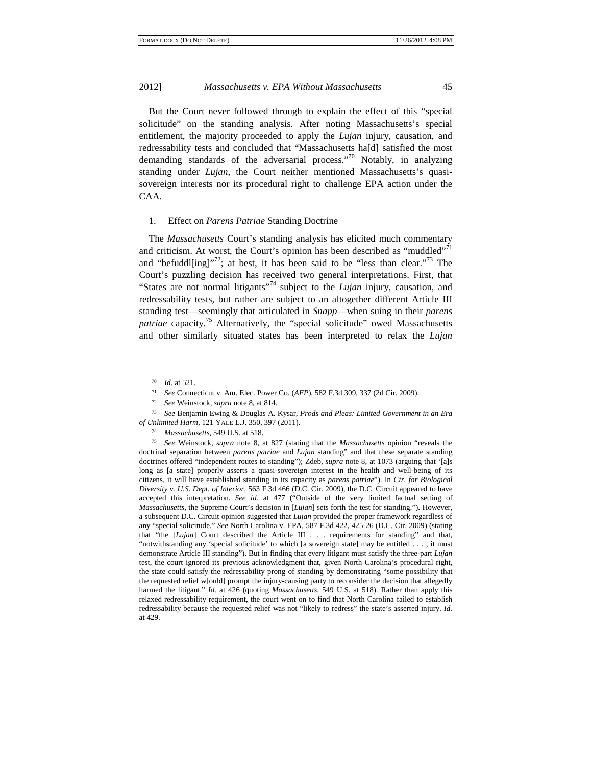But the Court never followed through to explain the effect of this "special solicitude" on the standing analysis. After noting Massachusetts's special entitlement, the majority proceeded to apply the *Lujan* injury, causation, and redressability tests and concluded that "Massachusetts ha[d] satisfied the most demanding standards of the adversarial process."<sup>70</sup> Notably, in analyzing standing under *Lujan*, the Court neither mentioned Massachusetts's quasisovereign interests nor its procedural right to challenge EPA action under the CAA.

#### 1. Effect on *Parens Patriae* Standing Doctrine

The *Massachusetts* Court's standing analysis has elicited much commentary and criticism. At worst, the Court's opinion has been described as "muddled"<sup>71</sup> and "befuddl $\lim_{x \to 7}$ "?; at best, it has been said to be "less than clear."<sup>73</sup> The Court's puzzling decision has received two general interpretations. First, that "States are not normal litigants"<sup>74</sup> subject to the *Lujan* injury, causation, and redressability tests, but rather are subject to an altogether different Article III standing test—seemingly that articulated in *Snapp*—when suing in their *parens*  patriae capacity.<sup>75</sup> Alternatively, the "special solicitude" owed Massachusetts and other similarly situated states has been interpreted to relax the *Lujan*

 $^{70}$  *Id.* at 521.

<sup>&</sup>lt;sup>71</sup> See Connecticut v. Am. Elec. Power Co. (*AEP*), 582 F.3d 309, 337 (2d Cir. 2009).<br><sup>72</sup> See Weinstock, *supra* note 8, at 814.<br><sup>73</sup> See Benjamin Ewing & Douglas A. Kysar, *Prods and Pleas: Limited Government in an Era* 

*of Unlimited Harm*, 121 YALE L.J. 350, 397 (2011). 74 *Massachusetts*, 549 U.S. at 518. 75 *See* Weinstock, *supra* note 8, at 827 (stating that the *Massachusetts* opinion "reveals the doctrinal separation between *parens patriae* and *Lujan* standing" and that these separate standing doctrines offered "independent routes to standing"); Zdeb, *supra* note 8, at 1073 (arguing that '[a]s long as [a state] properly asserts a quasi-sovereign interest in the health and well-being of its citizens, it will have established standing in its capacity as *parens patriae*"). In *Ctr. for Biological Diversity v. U.S. Dept. of Interior*, 563 F.3d 466 (D.C. Cir. 2009), the D.C. Circuit appeared to have accepted this interpretation. *See id.* at 477 ("Outside of the very limited factual setting of *Massachusetts,* the Supreme Court's decision in [*Lujan*] sets forth the test for standing."). However, a subsequent D.C. Circuit opinion suggested that *Lujan* provided the proper framework regardless of any "special solicitude." *See* North Carolina v. EPA, 587 F.3d 422, 425-26 (D.C. Cir. 2009) (stating that "the [*Lujan*] Court described the Article III . . . requirements for standing" and that, "notwithstanding any 'special solicitude' to which [a sovereign state] may be entitled . . . , it must demonstrate Article III standing"). But in finding that every litigant must satisfy the three-part *Lujan* test, the court ignored its previous acknowledgment that, given North Carolina's procedural right, the state could satisfy the redressability prong of standing by demonstrating "some possibility that the requested relief w[ould] prompt the injury-causing party to reconsider the decision that allegedly harmed the litigant." *Id.* at 426 (quoting *Massachusetts*, 549 U.S. at 518). Rather than apply this relaxed redressability requirement, the court went on to find that North Carolina failed to establish redressability because the requested relief was not "likely to redress" the state's asserted injury. *Id.* at 429.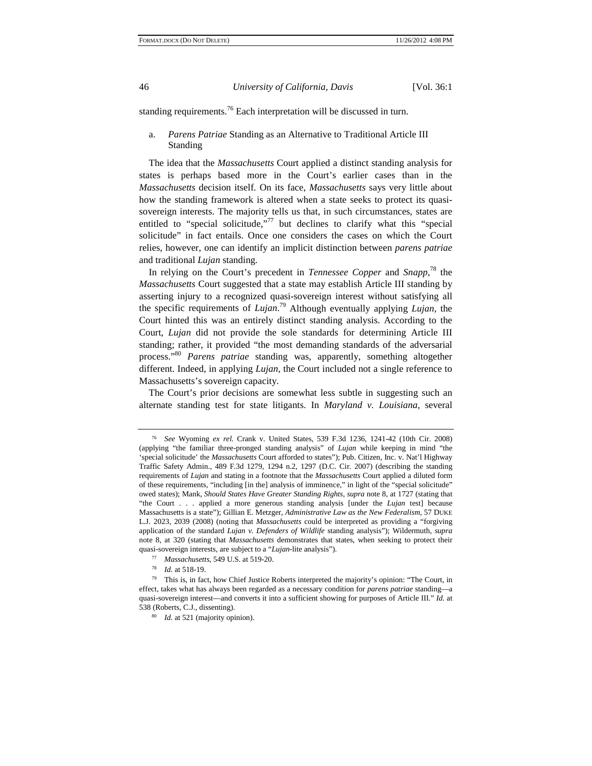standing requirements.<sup>76</sup> Each interpretation will be discussed in turn.

# a. *Parens Patriae* Standing as an Alternative to Traditional Article III Standing

The idea that the *Massachusetts* Court applied a distinct standing analysis for states is perhaps based more in the Court's earlier cases than in the *Massachusetts* decision itself. On its face, *Massachusetts* says very little about how the standing framework is altered when a state seeks to protect its quasisovereign interests. The majority tells us that, in such circumstances, states are entitled to "special solicitude,"<sup>77</sup> but declines to clarify what this "special solicitude" in fact entails. Once one considers the cases on which the Court relies, however, one can identify an implicit distinction between *parens patriae* and traditional *Lujan* standing.

In relying on the Court's precedent in *Tennessee Copper* and *Snapp*, 78 the *Massachusetts* Court suggested that a state may establish Article III standing by asserting injury to a recognized quasi-sovereign interest without satisfying all the specific requirements of *Lujan*. 79 Although eventually applying *Lujan*, the Court hinted this was an entirely distinct standing analysis. According to the Court, *Lujan* did not provide the sole standards for determining Article III standing; rather, it provided "the most demanding standards of the adversarial process."<sup>80</sup> *Parens patriae* standing was, apparently, something altogether different. Indeed, in applying *Lujan*, the Court included not a single reference to Massachusetts's sovereign capacity.

The Court's prior decisions are somewhat less subtle in suggesting such an alternate standing test for state litigants. In *Maryland v. Louisiana*, several

<sup>76</sup> *See* Wyoming *ex rel.* Crank v. United States, 539 F.3d 1236, 1241-42 (10th Cir. 2008) (applying "the familiar three-pronged standing analysis" of *Lujan* while keeping in mind "the 'special solicitude' the *Massachusetts* Court afforded to states"); Pub. Citizen, Inc. v. Nat'l Highway Traffic Safety Admin., 489 F.3d 1279, 1294 n.2, 1297 (D.C. Cir. 2007) (describing the standing requirements of *Lujan* and stating in a footnote that the *Massachusetts* Court applied a diluted form of these requirements, "including [in the] analysis of imminence," in light of the "special solicitude" owed states); Mank, *Should States Have Greater Standing Rights*, *supra* note 8, at 1727 (stating that "the Court . . . applied a more generous standing analysis [under the *Lujan* test] because Massachusetts is a state"); Gillian E. Metzger, *Administrative Law as the New Federalism*, 57 DUKE L.J. 2023, 2039 (2008) (noting that *Massachusetts* could be interpreted as providing a "forgiving application of the standard *Lujan v. Defenders of Wildlife* standing analysis"); Wildermuth, *supra* note 8, at 320 (stating that *Massachusetts* demonstrates that states, when seeking to protect their quasi-sovereign interests, are subject to a "Lujan-lite analysis").<br>
<sup>77</sup> *Massachusetts*, 549 U.S. at 519-20.<br>
<sup>78</sup> *Id.* at 518-19.<br>
<sup>79</sup> This is, in fact, how Chief Justice Roberts interpreted the majority's opinion: "

effect, takes what has always been regarded as a necessary condition for *parens patriae* standing—a quasi-sovereign interest—and converts it into a sufficient showing for purposes of Article III." *Id.* at 538 (Roberts, C.J., dissenting). 80 *Id.* at 521 (majority opinion).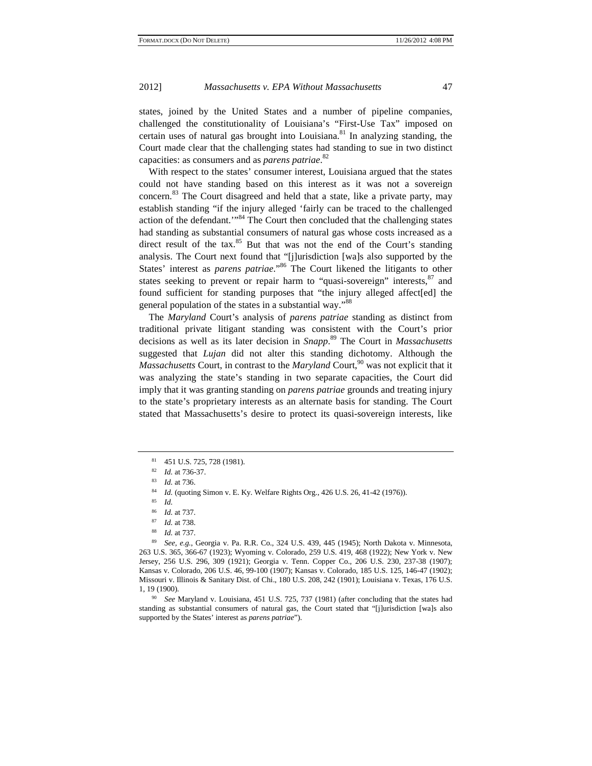states, joined by the United States and a number of pipeline companies, challenged the constitutionality of Louisiana's "First-Use Tax" imposed on certain uses of natural gas brought into Louisiana.<sup>81</sup> In analyzing standing, the Court made clear that the challenging states had standing to sue in two distinct capacities: as consumers and as *parens patriae*. 82

With respect to the states' consumer interest, Louisiana argued that the states could not have standing based on this interest as it was not a sovereign concern.83 The Court disagreed and held that a state, like a private party, may establish standing "if the injury alleged 'fairly can be traced to the challenged action of the defendant.'"84 The Court then concluded that the challenging states had standing as substantial consumers of natural gas whose costs increased as a direct result of the tax. $85$  But that was not the end of the Court's standing analysis. The Court next found that "[j]urisdiction [wa]s also supported by the States' interest as *parens patriae*."<sup>86</sup> The Court likened the litigants to other states seeking to prevent or repair harm to "quasi-sovereign" interests,  $87$  and found sufficient for standing purposes that "the injury alleged affect[ed] the general population of the states in a substantial way."<sup>88</sup>

The *Maryland* Court's analysis of *parens patriae* standing as distinct from traditional private litigant standing was consistent with the Court's prior decisions as well as its later decision in *Snapp*. 89 The Court in *Massachusetts* suggested that *Lujan* did not alter this standing dichotomy. Although the *Massachusetts* Court, in contrast to the *Maryland* Court,<sup>90</sup> was not explicit that it was analyzing the state's standing in two separate capacities, the Court did imply that it was granting standing on *parens patriae* grounds and treating injury to the state's proprietary interests as an alternate basis for standing. The Court stated that Massachusetts's desire to protect its quasi-sovereign interests, like

<sup>81 451</sup> U.S. 725, 728 (1981).

<sup>82</sup>*Id.* at 736-37. 83 *Id.* at 736. 84 *Id.* (quoting Simon v. E. Ky. Welfare Rights Org., 426 U.S. 26, 41-42 (1976)). 85 *Id.*

<sup>86</sup>*Id.* at 737. 87 *Id.* at 738.

<sup>88</sup>*Id.* at 737. 89 *See, e.g.*, Georgia v. Pa. R.R. Co., 324 U.S. 439, 445 (1945); North Dakota v. Minnesota, 263 U.S. 365, 366-67 (1923); Wyoming v. Colorado, 259 U.S. 419, 468 (1922); New York v. New Jersey, 256 U.S. 296, 309 (1921); Georgia v. Tenn. Copper Co., 206 U.S. 230, 237-38 (1907); Kansas v. Colorado, 206 U.S. 46, 99-100 (1907); Kansas v. Colorado, 185 U.S. 125, 146-47 (1902); Missouri v. Illinois & Sanitary Dist. of Chi., 180 U.S. 208, 242 (1901); Louisiana v. Texas, 176 U.S. 1, 19 (1900).

<sup>90</sup> *See* Maryland v. Louisiana, 451 U.S. 725, 737 (1981) (after concluding that the states had standing as substantial consumers of natural gas, the Court stated that "[j]urisdiction [wa]s also supported by the States' interest as *parens patriae*").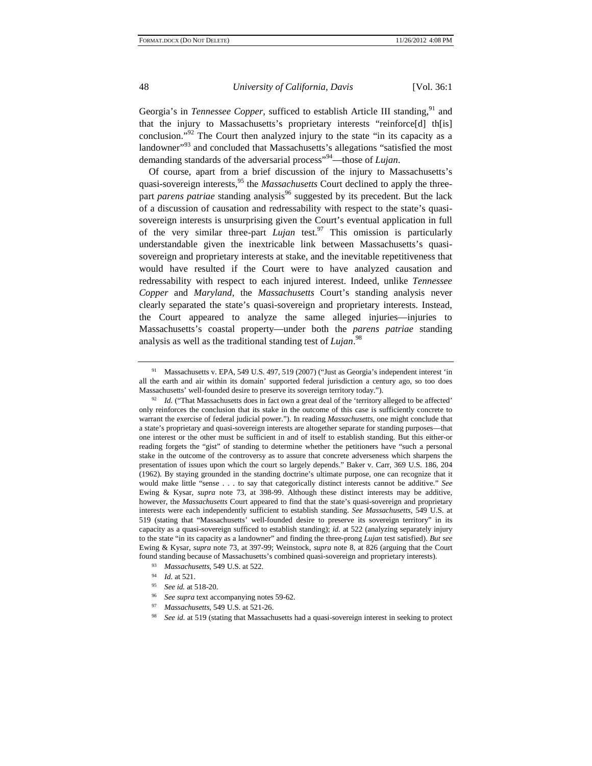Georgia's in *Tennessee Copper*, sufficed to establish Article III standing,<sup>91</sup> and that the injury to Massachusetts's proprietary interests "reinforce[d] th[is] conclusion."92 The Court then analyzed injury to the state "in its capacity as a landowner"<sup>93</sup> and concluded that Massachusetts's allegations "satisfied the most demanding standards of the adversarial process"94—those of *Lujan*.

Of course, apart from a brief discussion of the injury to Massachusetts's quasi-sovereign interests,<sup>95</sup> the *Massachusetts* Court declined to apply the threepart *parens patriae* standing analysis<sup>96</sup> suggested by its precedent. But the lack of a discussion of causation and redressability with respect to the state's quasisovereign interests is unsurprising given the Court's eventual application in full of the very similar three-part  $Lujan$  test.<sup>97</sup> This omission is particularly understandable given the inextricable link between Massachusetts's quasisovereign and proprietary interests at stake, and the inevitable repetitiveness that would have resulted if the Court were to have analyzed causation and redressability with respect to each injured interest. Indeed, unlike *Tennessee Copper* and *Maryland*, the *Massachusetts* Court's standing analysis never clearly separated the state's quasi-sovereign and proprietary interests. Instead, the Court appeared to analyze the same alleged injuries—injuries to Massachusetts's coastal property—under both the *parens patriae* standing analysis as well as the traditional standing test of *Lujan*. 98

<sup>91</sup> Massachusetts v. EPA, 549 U.S. 497, 519 (2007) ("Just as Georgia's independent interest 'in all the earth and air within its domain' supported federal jurisdiction a century ago, so too does

Massachusetts' well-founded desire to preserve its sovereign territory today.").<br><sup>92</sup> *Id.* ("That Massachusetts does in fact own a great deal of the 'territory alleged to be affected' only reinforces the conclusion that its stake in the outcome of this case is sufficiently concrete to warrant the exercise of federal judicial power."). In reading *Massachusetts*, one might conclude that a state's proprietary and quasi-sovereign interests are altogether separate for standing purposes—that one interest or the other must be sufficient in and of itself to establish standing. But this either-or reading forgets the "gist" of standing to determine whether the petitioners have "such a personal stake in the outcome of the controversy as to assure that concrete adverseness which sharpens the presentation of issues upon which the court so largely depends." Baker v. Carr, 369 U.S. 186, 204 (1962). By staying grounded in the standing doctrine's ultimate purpose, one can recognize that it would make little "sense . . . to say that categorically distinct interests cannot be additive." *See* Ewing & Kysar, *supra* note 73, at 398-99. Although these distinct interests may be additive, however, the *Massachusetts* Court appeared to find that the state's quasi-sovereign and proprietary interests were each independently sufficient to establish standing. *See Massachusetts*, 549 U.S. at 519 (stating that "Massachusetts' well-founded desire to preserve its sovereign territory" in its capacity as a quasi-sovereign sufficed to establish standing); *id.* at 522 (analyzing separately injury to the state "in its capacity as a landowner" and finding the three-prong *Lujan* test satisfied). *But see* Ewing & Kysar, *supra* note 73, at 397-99; Weinstock, *supra* note 8, at 826 (arguing that the Court

<sup>%</sup> found standing because of Massachusetts's combined quasi-sovereign and proprietary interests).<br>
<sup>93</sup> *Massachusetts*, 549 U.S. at 522.<br>
<sup>94</sup> *Id.* at 521.<br> *See id.* at 518-20.<br> *See supra* text accompanying notes 59-62.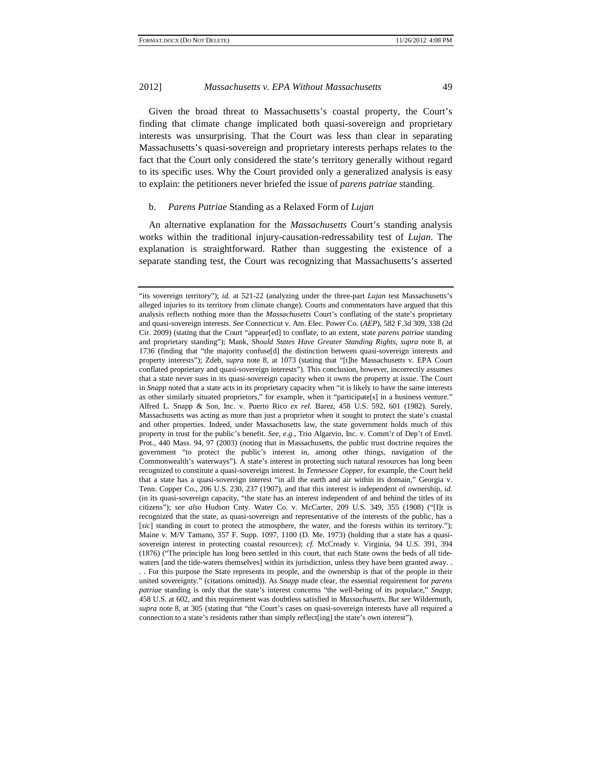Given the broad threat to Massachusetts's coastal property, the Court's finding that climate change implicated both quasi-sovereign and proprietary interests was unsurprising. That the Court was less than clear in separating Massachusetts's quasi-sovereign and proprietary interests perhaps relates to the fact that the Court only considered the state's territory generally without regard to its specific uses. Why the Court provided only a generalized analysis is easy to explain: the petitioners never briefed the issue of *parens patriae* standing.

#### b. *Parens Patriae* Standing as a Relaxed Form of *Lujan*

An alternative explanation for the *Massachusetts* Court's standing analysis works within the traditional injury-causation-redressability test of *Lujan*. The explanation is straightforward. Rather than suggesting the existence of a separate standing test, the Court was recognizing that Massachusetts's asserted

<sup>&</sup>quot;its sovereign territory"); *id.* at 521-22 (analyzing under the three-part *Lujan* test Massachusetts's alleged injuries to its territory from climate change). Courts and commentators have argued that this analysis reflects nothing more than the *Massachusetts* Court's conflating of the state's proprietary and quasi-sovereign interests. *See* Connecticut v. Am. Elec. Power Co. (*AEP*), 582 F.3d 309, 338 (2d Cir. 2009) (stating that the Court "appear[ed] to conflate, to an extent, state *parens patriae* standing and proprietary standing"); Mank, *Should States Have Greater Standing Rights*, *supra* note 8, at 1736 (finding that "the majority confuse[d] the distinction between quasi-sovereign interests and property interests"); Zdeb, *supra* note 8, at 1073 (stating that "[t]he Massachusetts v. EPA Court conflated proprietary and quasi-sovereign interests"). This conclusion, however, incorrectly assumes that a state never sues in its quasi-sovereign capacity when it owns the property at issue. The Court in *Snapp* noted that a state acts in its proprietary capacity when "it is likely to have the same interests as other similarly situated proprietors," for example, when it "participate[s] in a business venture." Alfred L. Snapp & Son, Inc. v. Puerto Rico *ex rel.* Barez, 458 U.S. 592, 601 (1982). Surely, Massachusetts was acting as more than just a proprietor when it sought to protect the state's coastal and other properties. Indeed, under Massachusetts law, the state government holds much of this property in trust for the public's benefit. *See, e.g.*, Trio Algarvio, Inc. v. Comm'r of Dep't of Envtl. Prot., 440 Mass. 94, 97 (2003) (noting that in Massachusetts, the public trust doctrine requires the government "to protect the public's interest in, among other things, navigation of the Commonwealth's waterways"). A state's interest in protecting such natural resources has long been recognized to constitute a quasi-sovereign interest. In *Tennessee Copper*, for example, the Court held that a state has a quasi-sovereign interest "in all the earth and air within its domain," Georgia v. Tenn. Copper Co., 206 U.S. 230, 237 (1907), and that this interest is independent of ownership, *id.* (in its quasi-sovereign capacity, "the state has an interest independent of and behind the titles of its citizens"); *see also* Hudson Cnty. Water Co. v. McCarter, 209 U.S. 349, 355 (1908) ("[I]t is recognized that the state, as quasi-sovereign and representative of the interests of the public, has a [sic] standing in court to protect the atmosphere, the water, and the forests within its territory."); Maine v. M/V Tamano, 357 F. Supp. 1097, 1100 (D. Me. 1973) (holding that a state has a quasisovereign interest in protecting coastal resources); *cf.* McCready v. Virginia, 94 U.S. 391, 394 (1876) ("The principle has long been settled in this court, that each State owns the beds of all tidewaters [and the tide-waters themselves] within its jurisdiction, unless they have been granted away. . . . For this purpose the State represents its people, and the ownership is that of the people in their united sovereignty." (citations omitted)). As *Snapp* made clear, the essential requirement for *parens patriae* standing is only that the state's interest concerns "the well-being of its populace," *Snapp*, 458 U.S. at 602, and this requirement was doubtless satisfied in *Massachusetts*. *But see* Wildermuth, *supra* note 8, at 305 (stating that "the Court's cases on quasi-sovereign interests have all required a connection to a state's residents rather than simply reflect[ing] the state's own interest").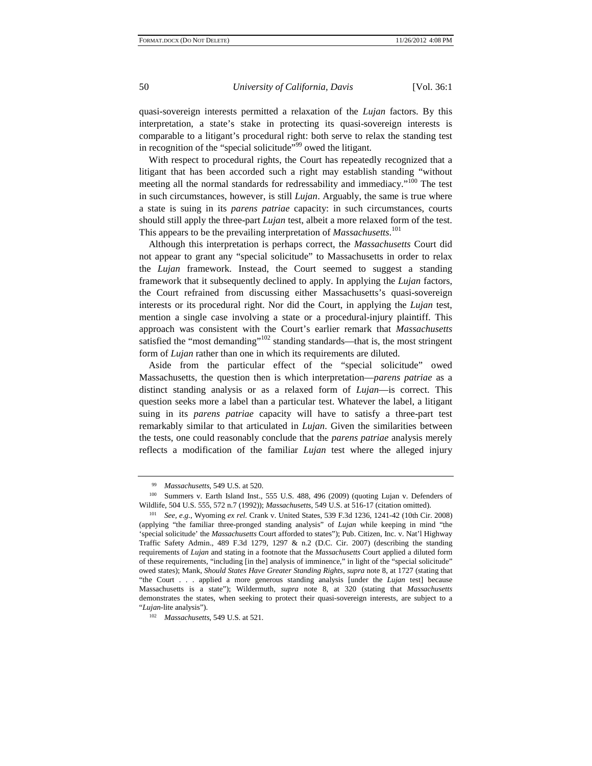quasi-sovereign interests permitted a relaxation of the *Lujan* factors. By this interpretation, a state's stake in protecting its quasi-sovereign interests is comparable to a litigant's procedural right: both serve to relax the standing test in recognition of the "special solicitude"<sup>99</sup> owed the litigant.

With respect to procedural rights, the Court has repeatedly recognized that a litigant that has been accorded such a right may establish standing "without meeting all the normal standards for redressability and immediacy."<sup>100</sup> The test in such circumstances, however, is still *Lujan*. Arguably, the same is true where a state is suing in its *parens patriae* capacity: in such circumstances, courts should still apply the three-part *Lujan* test, albeit a more relaxed form of the test. This appears to be the prevailing interpretation of *Massachusetts*. 101

Although this interpretation is perhaps correct, the *Massachusetts* Court did not appear to grant any "special solicitude" to Massachusetts in order to relax the *Lujan* framework. Instead, the Court seemed to suggest a standing framework that it subsequently declined to apply. In applying the *Lujan* factors, the Court refrained from discussing either Massachusetts's quasi-sovereign interests or its procedural right. Nor did the Court, in applying the *Lujan* test, mention a single case involving a state or a procedural-injury plaintiff. This approach was consistent with the Court's earlier remark that *Massachusetts* satisfied the "most demanding"<sup>102</sup> standing standards—that is, the most stringent form of *Lujan* rather than one in which its requirements are diluted.

Aside from the particular effect of the "special solicitude" owed Massachusetts, the question then is which interpretation—*parens patriae* as a distinct standing analysis or as a relaxed form of *Lujan*—is correct. This question seeks more a label than a particular test. Whatever the label, a litigant suing in its *parens patriae* capacity will have to satisfy a three-part test remarkably similar to that articulated in *Lujan*. Given the similarities between the tests, one could reasonably conclude that the *parens patriae* analysis merely reflects a modification of the familiar *Lujan* test where the alleged injury

*Massachusetts*, 549 U.S. at 520. 100 Summers v. Earth Island Inst., 555 U.S. 488, 496 (2009) (quoting Lujan v. Defenders of Wildlife, 504 U.S. 555, 572 n.7 (1992)); *Massachusetts*, 549 U.S. at 516-17 (citation omitted). 101 *See, e.g.*, Wyoming *ex rel.* Crank v. United States, 539 F.3d 1236, 1241-42 (10th Cir. 2008)

<sup>(</sup>applying "the familiar three-pronged standing analysis" of *Lujan* while keeping in mind "the 'special solicitude' the *Massachusetts* Court afforded to states"); Pub. Citizen, Inc. v. Nat'l Highway Traffic Safety Admin., 489 F.3d 1279, 1297 & n.2 (D.C. Cir. 2007) (describing the standing requirements of *Lujan* and stating in a footnote that the *Massachusetts* Court applied a diluted form of these requirements, "including [in the] analysis of imminence," in light of the "special solicitude" owed states); Mank, *Should States Have Greater Standing Rights*, *supra* note 8, at 1727 (stating that "the Court . . . applied a more generous standing analysis [under the *Lujan* test] because Massachusetts is a state"); Wildermuth, *supra* note 8, at 320 (stating that *Massachusetts* demonstrates the states, when seeking to protect their quasi-sovereign interests, are subject to a "*Lujan*-lite analysis"). 102 *Massachusetts*, 549 U.S. at 521.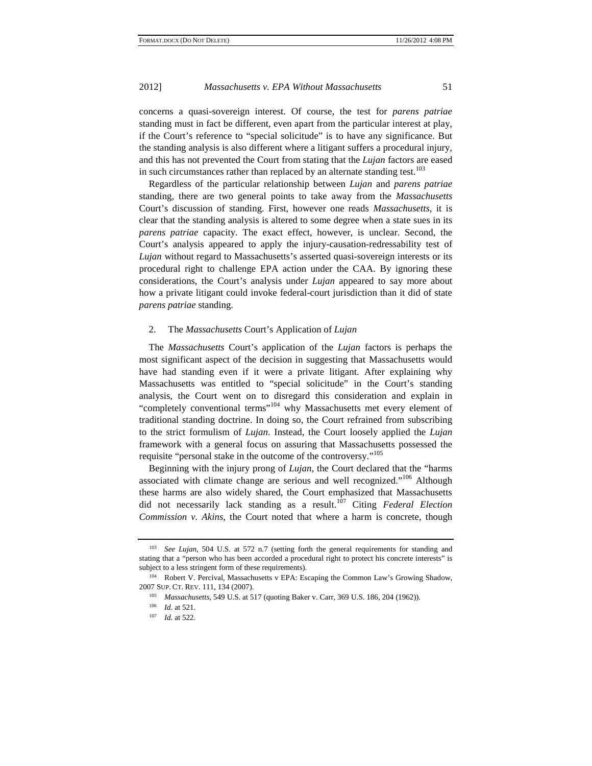concerns a quasi-sovereign interest. Of course, the test for *parens patriae* standing must in fact be different, even apart from the particular interest at play, if the Court's reference to "special solicitude" is to have any significance. But the standing analysis is also different where a litigant suffers a procedural injury, and this has not prevented the Court from stating that the *Lujan* factors are eased in such circumstances rather than replaced by an alternate standing test.<sup>103</sup>

Regardless of the particular relationship between *Lujan* and *parens patriae* standing, there are two general points to take away from the *Massachusetts*  Court's discussion of standing. First, however one reads *Massachusetts*, it is clear that the standing analysis is altered to some degree when a state sues in its *parens patriae* capacity. The exact effect, however, is unclear. Second, the Court's analysis appeared to apply the injury-causation-redressability test of *Lujan* without regard to Massachusetts's asserted quasi-sovereign interests or its procedural right to challenge EPA action under the CAA. By ignoring these considerations, the Court's analysis under *Lujan* appeared to say more about how a private litigant could invoke federal-court jurisdiction than it did of state *parens patriae* standing.

#### 2. The *Massachusetts* Court's Application of *Lujan*

The *Massachusetts* Court's application of the *Lujan* factors is perhaps the most significant aspect of the decision in suggesting that Massachusetts would have had standing even if it were a private litigant. After explaining why Massachusetts was entitled to "special solicitude" in the Court's standing analysis, the Court went on to disregard this consideration and explain in "completely conventional terms"<sup>104</sup> why Massachusetts met every element of traditional standing doctrine. In doing so, the Court refrained from subscribing to the strict formulism of *Lujan*. Instead, the Court loosely applied the *Lujan* framework with a general focus on assuring that Massachusetts possessed the requisite "personal stake in the outcome of the controversy."<sup>105</sup>

Beginning with the injury prong of *Lujan*, the Court declared that the "harms associated with climate change are serious and well recognized."106 Although these harms are also widely shared, the Court emphasized that Massachusetts did not necessarily lack standing as a result.107 Citing *Federal Election Commission v. Akins*, the Court noted that where a harm is concrete, though

<sup>103</sup> *See Lujan*, 504 U.S. at 572 n.7 (setting forth the general requirements for standing and stating that a "person who has been accorded a procedural right to protect his concrete interests" is subject to a less stringent form of these requirements).<br><sup>104</sup> Robert V. Percival, Massachusetts v EPA: Escaping the Common Law's Growing Shadow,

<sup>2007</sup> SUP. CT. REV. 111, 134 (2007). 105 *Massachusetts*, 549 U.S. at 517 (quoting Baker v. Carr, 369 U.S. 186, 204 (1962)). 106 *Id.* at 521. 107 *Id.* at 522.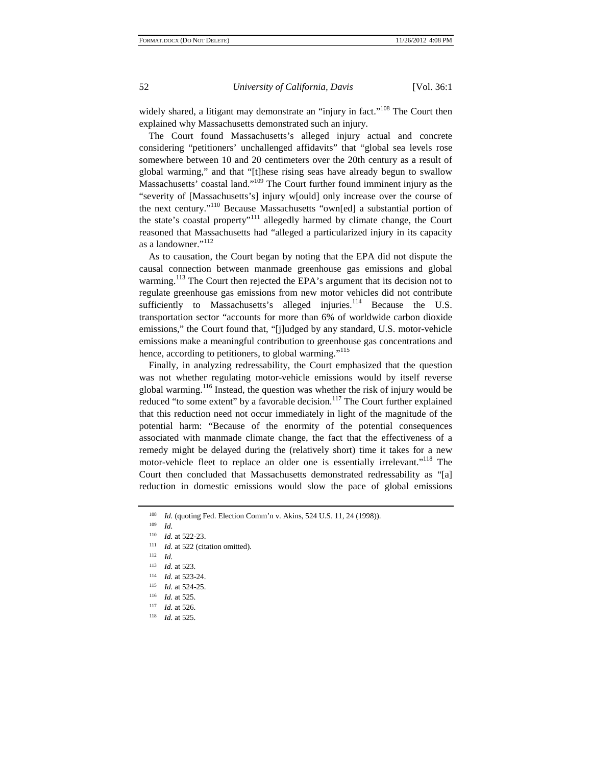widely shared, a litigant may demonstrate an "injury in fact."<sup>108</sup> The Court then explained why Massachusetts demonstrated such an injury.

The Court found Massachusetts's alleged injury actual and concrete considering "petitioners' unchallenged affidavits" that "global sea levels rose somewhere between 10 and 20 centimeters over the 20th century as a result of global warming," and that "[t]hese rising seas have already begun to swallow Massachusetts' coastal land."<sup>109</sup> The Court further found imminent injury as the "severity of [Massachusetts's] injury w[ould] only increase over the course of the next century."110 Because Massachusetts "own[ed] a substantial portion of the state's coastal property"111 allegedly harmed by climate change, the Court reasoned that Massachusetts had "alleged a particularized injury in its capacity as a landowner."<sup>112</sup>

As to causation, the Court began by noting that the EPA did not dispute the causal connection between manmade greenhouse gas emissions and global warming.<sup>113</sup> The Court then rejected the EPA's argument that its decision not to regulate greenhouse gas emissions from new motor vehicles did not contribute sufficiently to Massachusetts's alleged injuries. $114$  Because the U.S. transportation sector "accounts for more than 6% of worldwide carbon dioxide emissions," the Court found that, "[j]udged by any standard, U.S. motor-vehicle emissions make a meaningful contribution to greenhouse gas concentrations and hence, according to petitioners, to global warming."<sup>115</sup>

Finally, in analyzing redressability, the Court emphasized that the question was not whether regulating motor-vehicle emissions would by itself reverse global warming.116 Instead, the question was whether the risk of injury would be reduced "to some extent" by a favorable decision.<sup>117</sup> The Court further explained that this reduction need not occur immediately in light of the magnitude of the potential harm: "Because of the enormity of the potential consequences associated with manmade climate change, the fact that the effectiveness of a remedy might be delayed during the (relatively short) time it takes for a new motor-vehicle fleet to replace an older one is essentially irrelevant."<sup>118</sup> The Court then concluded that Massachusetts demonstrated redressability as "[a] reduction in domestic emissions would slow the pace of global emissions

- 
- 
- 
- 
- 113 *Id.* at 523.<br>
115 *Id.* at 523-24.<br>
115 *Id.* at 524-25.<br>
116 *Id.* at 525.<br>
118 *Id.* at 525.
- 

<sup>108</sup> *Id.* (quoting Fed. Election Comm'n v. Akins, 524 U.S. 11, 24 (1998)).<br>
109 *Id.*<br>
110 *Id.* at 522-23.<br>
111 *Id.* at 522 (citation omitted).<br>
112 *Id.*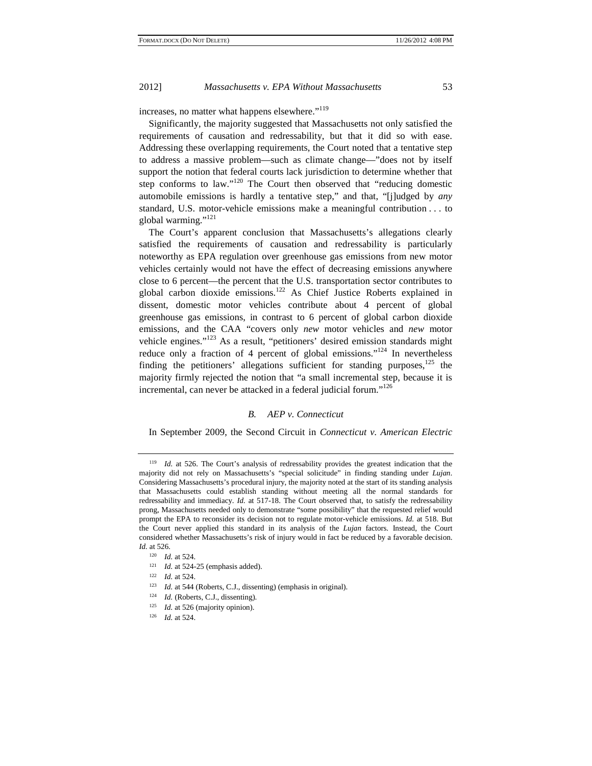increases, no matter what happens elsewhere."<sup>119</sup>

Significantly, the majority suggested that Massachusetts not only satisfied the requirements of causation and redressability, but that it did so with ease. Addressing these overlapping requirements, the Court noted that a tentative step to address a massive problem—such as climate change—"does not by itself support the notion that federal courts lack jurisdiction to determine whether that step conforms to law."<sup>120</sup> The Court then observed that "reducing domestic automobile emissions is hardly a tentative step," and that, "[j]udged by *any* standard, U.S. motor-vehicle emissions make a meaningful contribution . . . to global warming."<sup>121</sup>

The Court's apparent conclusion that Massachusetts's allegations clearly satisfied the requirements of causation and redressability is particularly noteworthy as EPA regulation over greenhouse gas emissions from new motor vehicles certainly would not have the effect of decreasing emissions anywhere close to 6 percent—the percent that the U.S. transportation sector contributes to global carbon dioxide emissions.<sup>122</sup> As Chief Justice Roberts explained in dissent, domestic motor vehicles contribute about 4 percent of global greenhouse gas emissions, in contrast to 6 percent of global carbon dioxide emissions, and the CAA "covers only *new* motor vehicles and *new* motor vehicle engines."123 As a result, "petitioners' desired emission standards might reduce only a fraction of 4 percent of global emissions."<sup>124</sup> In nevertheless finding the petitioners' allegations sufficient for standing purposes, $125$  the majority firmly rejected the notion that "a small incremental step, because it is incremental, can never be attacked in a federal judicial forum."<sup>126</sup>

# *B. AEP v. Connecticut*

In September 2009, the Second Circuit in *Connecticut v. American Electric* 

<sup>&</sup>lt;sup>119</sup> *Id.* at 526. The Court's analysis of redressability provides the greatest indication that the majority did not rely on Massachusetts's "special solicitude" in finding standing under *Lujan*. Considering Massachusetts's procedural injury, the majority noted at the start of its standing analysis that Massachusetts could establish standing without meeting all the normal standards for redressability and immediacy. *Id.* at 517-18. The Court observed that, to satisfy the redressability prong, Massachusetts needed only to demonstrate "some possibility" that the requested relief would prompt the EPA to reconsider its decision not to regulate motor-vehicle emissions. *Id.* at 518. But the Court never applied this standard in its analysis of the *Lujan* factors. Instead, the Court considered whether Massachusetts's risk of injury would in fact be reduced by a favorable decision. *Id.* at 526.

<sup>&</sup>lt;sup>120</sup> *Id.* at 524.<br>
<sup>121</sup> *Id.* at 524-25 (emphasis added).<br>
<sup>122</sup> *Id.* at 524.<br> *Id.* at 544 (Roberts, C.J., dissenting) (emphasis in original).<br>
<sup>124</sup> *Id.* (Roberts, C.J., dissenting).<br>
<sup>125</sup> *Id.* at 526 (majority o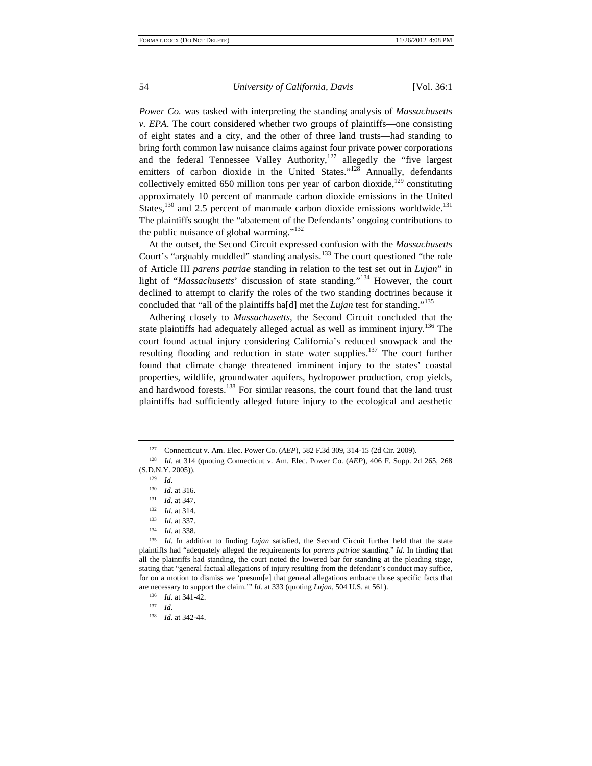*Power Co.* was tasked with interpreting the standing analysis of *Massachusetts v. EPA*. The court considered whether two groups of plaintiffs—one consisting of eight states and a city, and the other of three land trusts—had standing to bring forth common law nuisance claims against four private power corporations and the federal Tennessee Valley Authority, $127$  allegedly the "five largest" emitters of carbon dioxide in the United States."<sup>128</sup> Annually, defendants collectively emitted 650 million tons per year of carbon dioxide, $129$  constituting approximately 10 percent of manmade carbon dioxide emissions in the United States,<sup>130</sup> and 2.5 percent of manmade carbon dioxide emissions worldwide.<sup>131</sup> The plaintiffs sought the "abatement of the Defendants' ongoing contributions to the public nuisance of global warming." $132$ 

At the outset, the Second Circuit expressed confusion with the *Massachusetts*  Court's "arguably muddled" standing analysis.<sup>133</sup> The court questioned "the role" of Article III *parens patriae* standing in relation to the test set out in *Lujan*" in light of "*Massachusetts*' discussion of state standing."134 However, the court declined to attempt to clarify the roles of the two standing doctrines because it concluded that "all of the plaintiffs ha[d] met the *Lujan* test for standing."<sup>135</sup>

Adhering closely to *Massachusetts*, the Second Circuit concluded that the state plaintiffs had adequately alleged actual as well as imminent injury.<sup>136</sup> The court found actual injury considering California's reduced snowpack and the resulting flooding and reduction in state water supplies.<sup>137</sup> The court further found that climate change threatened imminent injury to the states' coastal properties, wildlife, groundwater aquifers, hydropower production, crop yields, and hardwood forests.<sup>138</sup> For similar reasons, the court found that the land trust plaintiffs had sufficiently alleged future injury to the ecological and aesthetic

<sup>127</sup> Connecticut v. Am. Elec. Power Co. (*AEP*), 582 F.3d 309, 314-15 (2d Cir. 2009).

<sup>128</sup> *Id.* at 314 (quoting Connecticut v. Am. Elec. Power Co. (*AEP*), 406 F. Supp. 2d 265, 268 (S.D.N.Y. 2005)).

 $\frac{129}{130}$  *Id.* 

 $\frac{130}{131}$  *Id.* at 316.

<sup>131</sup>*Id.* at 347.<br>
<sup>132</sup> *Id.* at 334.<br>
<sup>133</sup> *Id.* at 338.<br>
<sup>135</sup> *Id.* In addition to finding *Lujan* satisfied, the Second Circuit further held that the state plaintiffs had "adequately alleged the requirements for *parens patriae* standing." *Id.* In finding that all the plaintiffs had standing, the court noted the lowered bar for standing at the pleading stage, stating that "general factual allegations of injury resulting from the defendant's conduct may suffice, for on a motion to dismiss we 'presum[e] that general allegations embrace those specific facts that are necessary to support the claim.'" *Id.* at 333 (quoting *Lujan*, 504 U.S. at 561).<br><sup>136</sup> *Id.* at 341-42.<br><sup>137</sup> *Id.* 138 *Id.* at 342-44.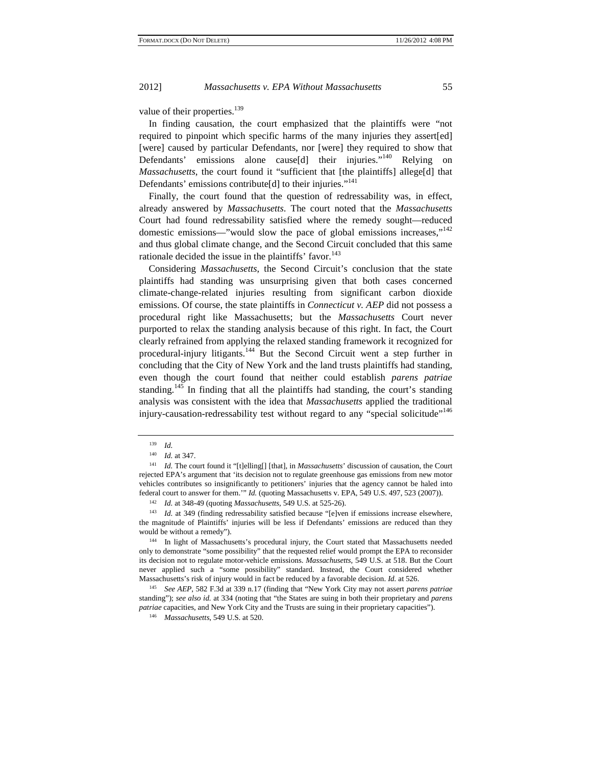value of their properties.<sup>139</sup>

In finding causation, the court emphasized that the plaintiffs were "not required to pinpoint which specific harms of the many injuries they assert[ed] [were] caused by particular Defendants, nor [were] they required to show that Defendants' emissions alone cause[d] their injuries."<sup>140</sup> Relying on *Massachusetts*, the court found it "sufficient that [the plaintiffs] allege[d] that Defendants' emissions contribute[d] to their injuries."<sup>141</sup>

Finally, the court found that the question of redressability was, in effect, already answered by *Massachusetts*. The court noted that the *Massachusetts* Court had found redressability satisfied where the remedy sought—reduced domestic emissions—"would slow the pace of global emissions increases," $142$ and thus global climate change, and the Second Circuit concluded that this same rationale decided the issue in the plaintiffs' favor. $143$ 

Considering *Massachusetts*, the Second Circuit's conclusion that the state plaintiffs had standing was unsurprising given that both cases concerned climate-change-related injuries resulting from significant carbon dioxide emissions. Of course, the state plaintiffs in *Connecticut v. AEP* did not possess a procedural right like Massachusetts; but the *Massachusetts* Court never purported to relax the standing analysis because of this right. In fact, the Court clearly refrained from applying the relaxed standing framework it recognized for procedural-injury litigants.144 But the Second Circuit went a step further in concluding that the City of New York and the land trusts plaintiffs had standing, even though the court found that neither could establish *parens patriae* standing.<sup>145</sup> In finding that all the plaintiffs had standing, the court's standing analysis was consistent with the idea that *Massachusetts* applied the traditional injury-causation-redressability test without regard to any "special solicitude"<sup>146</sup>

<sup>139</sup>*Id.* 140 *Id.* at 347.

<sup>&</sup>lt;sup>141</sup> *Id.* The court found it "[t]elling[] [that], in *Massachusetts*' discussion of causation, the Court rejected EPA's argument that 'its decision not to regulate greenhouse gas emissions from new motor vehicles contributes so insignificantly to petitioners' injuries that the agency cannot be haled into federal court to answer for them."" *Id.* (quoting Massachusetts v. EPA, 549 U.S. 497, 523 (2007)).

<sup>142</sup>*Id.* at 348-49 (quoting *Massachusetts*, 549 U.S. at 525-26). 143 *Id.* at 349 (finding redressability satisfied because "[e]ven if emissions increase elsewhere, the magnitude of Plaintiffs' injuries will be less if Defendants' emissions are reduced than they would be without a remedy").<br><sup>144</sup> In light of Massachusetts's procedural injury, the Court stated that Massachusetts needed

only to demonstrate "some possibility" that the requested relief would prompt the EPA to reconsider its decision not to regulate motor-vehicle emissions. *Massachusetts*, 549 U.S. at 518. But the Court never applied such a "some possibility" standard. Instead, the Court considered whether Massachusetts's risk of injury would in fact be reduced by a favorable decision. *Id.* at 526. 145 *See AEP*, 582 F.3d at 339 n.17 (finding that "New York City may not assert *parens patriae*

standing"); *see also id.* at 334 (noting that "the States are suing in both their proprietary and *parens patriae* capacities, and New York City and the Trusts are suing in their proprietary capacities"). 146 *Massachusetts*, 549 U.S. at 520.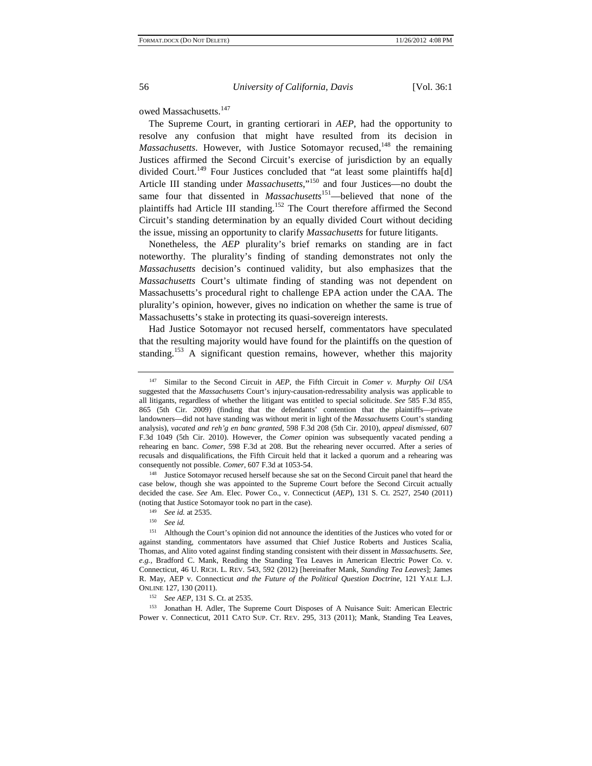# owed Massachusetts.<sup>147</sup>

The Supreme Court, in granting certiorari in *AEP*, had the opportunity to resolve any confusion that might have resulted from its decision in *Massachusetts*. However, with Justice Sotomayor recused,<sup>148</sup> the remaining Justices affirmed the Second Circuit's exercise of jurisdiction by an equally divided Court.<sup>149</sup> Four Justices concluded that "at least some plaintiffs ha[d] Article III standing under *Massachusetts*,"<sup>150</sup> and four Justices—no doubt the same four that dissented in *Massachusetts*<sup>151</sup>—believed that none of the plaintiffs had Article III standing.<sup>152</sup> The Court therefore affirmed the Second Circuit's standing determination by an equally divided Court without deciding the issue, missing an opportunity to clarify *Massachusetts* for future litigants.

Nonetheless, the *AEP* plurality's brief remarks on standing are in fact noteworthy. The plurality's finding of standing demonstrates not only the *Massachusetts* decision's continued validity, but also emphasizes that the *Massachusetts* Court's ultimate finding of standing was not dependent on Massachusetts's procedural right to challenge EPA action under the CAA. The plurality's opinion, however, gives no indication on whether the same is true of Massachusetts's stake in protecting its quasi-sovereign interests.

Had Justice Sotomayor not recused herself, commentators have speculated that the resulting majority would have found for the plaintiffs on the question of standing.<sup>153</sup> A significant question remains, however, whether this majority

case below, though she was appointed to the Supreme Court before the Second Circuit actually decided the case. *See* Am. Elec. Power Co., v. Connecticut (*AEP*), 131 S. Ct. 2527, 2540 (2011) (noting that Justice Sotomayor took no part in the case). 149 *See id.* at 2535. 150 *See id.*

153 Jonathan H. Adler, The Supreme Court Disposes of A Nuisance Suit: American Electric Power v. Connecticut, 2011 CATO SUP. CT. REV. 295, 313 (2011); Mank, Standing Tea Leaves,

<sup>147</sup> Similar to the Second Circuit in *AEP*, the Fifth Circuit in *Comer v. Murphy Oil USA* suggested that the *Massachusetts* Court's injury-causation-redressability analysis was applicable to all litigants, regardless of whether the litigant was entitled to special solicitude. *See* 585 F.3d 855, 865 (5th Cir. 2009) (finding that the defendants' contention that the plaintiffs—private landowners—did not have standing was without merit in light of the *Massachusetts* Court's standing analysis), *vacated and reh'g en banc granted*, 598 F.3d 208 (5th Cir. 2010), *appeal dismissed*, 607 F.3d 1049 (5th Cir. 2010). However, the *Comer* opinion was subsequently vacated pending a rehearing en banc. *Comer*, 598 F.3d at 208. But the rehearing never occurred. After a series of recusals and disqualifications, the Fifth Circuit held that it lacked a quorum and a rehearing was consequently not possible. *Comer*, 607 F.3d at 1053-54. 148 Justice Sotomayor recused herself because she sat on the Second Circuit panel that heard the

<sup>151</sup> Although the Court's opinion did not announce the identities of the Justices who voted for or against standing, commentators have assumed that Chief Justice Roberts and Justices Scalia, Thomas, and Alito voted against finding standing consistent with their dissent in *Massachusetts*. *See, e.g.*, Bradford C. Mank, Reading the Standing Tea Leaves in American Electric Power Co. v. Connecticut, 46 U. RICH. L. REV. 543, 592 (2012) [hereinafter Mank, *Standing Tea Leaves*]; James R. May, AEP v. Connecticut *and the Future of the Political Question Doctrine*, 121 YALE L.J. ONLINE 127, 130 (2011). 152 *See AEP*, 131 S. Ct. at 2535.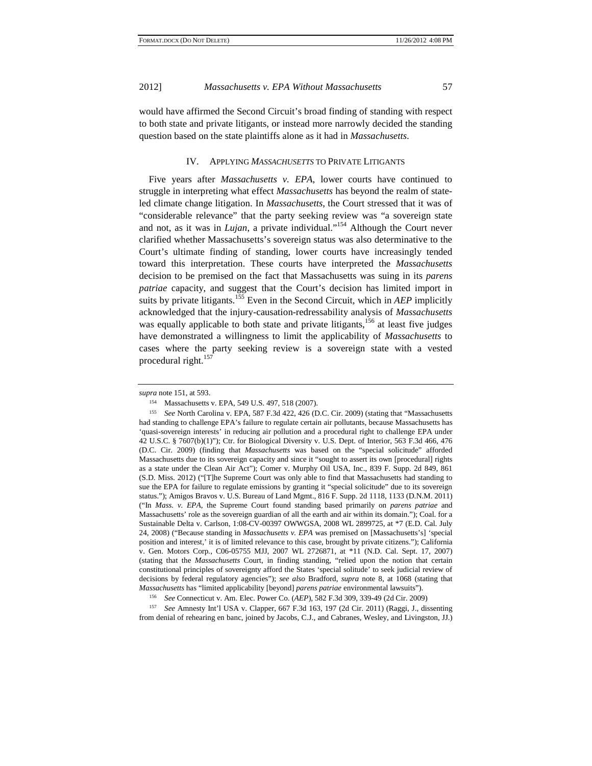would have affirmed the Second Circuit's broad finding of standing with respect to both state and private litigants, or instead more narrowly decided the standing question based on the state plaintiffs alone as it had in *Massachusetts*.

# IV. APPLYING *MASSACHUSETTS* TO PRIVATE LITIGANTS

Five years after *Massachusetts v. EPA*, lower courts have continued to struggle in interpreting what effect *Massachusetts* has beyond the realm of stateled climate change litigation. In *Massachusetts*, the Court stressed that it was of "considerable relevance" that the party seeking review was "a sovereign state and not, as it was in *Lujan*, a private individual."154 Although the Court never clarified whether Massachusetts's sovereign status was also determinative to the Court's ultimate finding of standing, lower courts have increasingly tended toward this interpretation. These courts have interpreted the *Massachusetts* decision to be premised on the fact that Massachusetts was suing in its *parens patriae* capacity, and suggest that the Court's decision has limited import in suits by private litigants.155 Even in the Second Circuit, which in *AEP* implicitly acknowledged that the injury-causation-redressability analysis of *Massachusetts* was equally applicable to both state and private litigants,<sup>156</sup> at least five judges have demonstrated a willingness to limit the applicability of *Massachusetts* to cases where the party seeking review is a sovereign state with a vested procedural right. $157$ 

157 *See* Amnesty Int'l USA v. Clapper, 667 F.3d 163, 197 (2d Cir. 2011) (Raggi, J., dissenting from denial of rehearing en banc, joined by Jacobs, C.J., and Cabranes, Wesley, and Livingston, JJ.)

*supra* note 151, at 593.<br><sup>154</sup> Massachusetts v. EPA, 549 U.S. 497, 518 (2007).

<sup>155</sup> *See* North Carolina v. EPA, 587 F.3d 422, 426 (D.C. Cir. 2009) (stating that "Massachusetts had standing to challenge EPA's failure to regulate certain air pollutants, because Massachusetts has 'quasi-sovereign interests' in reducing air pollution and a procedural right to challenge EPA under 42 U.S.C. § 7607(b)(1)"); Ctr. for Biological Diversity v. U.S. Dept. of Interior, 563 F.3d 466, 476 (D.C. Cir. 2009) (finding that *Massachusetts* was based on the "special solicitude" afforded Massachusetts due to its sovereign capacity and since it "sought to assert its own [procedural] rights as a state under the Clean Air Act"); Comer v. Murphy Oil USA, Inc., 839 F. Supp. 2d 849, 861 (S.D. Miss. 2012) ("[T]he Supreme Court was only able to find that Massachusetts had standing to sue the EPA for failure to regulate emissions by granting it "special solicitude" due to its sovereign status."); Amigos Bravos v. U.S. Bureau of Land Mgmt., 816 F. Supp. 2d 1118, 1133 (D.N.M. 2011) ("In *Mass. v. EPA*, the Supreme Court found standing based primarily on *parens patriae* and Massachusetts' role as the sovereign guardian of all the earth and air within its domain."); Coal. for a Sustainable Delta v. Carlson, 1:08-CV-00397 OWWGSA, 2008 WL 2899725, at \*7 (E.D. Cal. July 24, 2008) ("Because standing in *Massachusetts v. EPA* was premised on [Massachusetts's] 'special position and interest,' it is of limited relevance to this case, brought by private citizens."); California v. Gen. Motors Corp*.*, C06-05755 MJJ, 2007 WL 2726871, at \*11 (N.D. Cal. Sept. 17, 2007) (stating that the *Massachusetts* Court, in finding standing, "relied upon the notion that certain constitutional principles of sovereignty afford the States 'special solitude' to seek judicial review of decisions by federal regulatory agencies"); *see also* Bradford, *supra* note 8, at 1068 (stating that

*Massachusetts* has "limited applicability [beyond] *parens patriae* environmental lawsuits"). 156 *See* Connecticut v. Am. Elec. Power Co. (*AEP*), 582 F.3d 309, 339-49 (2d Cir. 2009)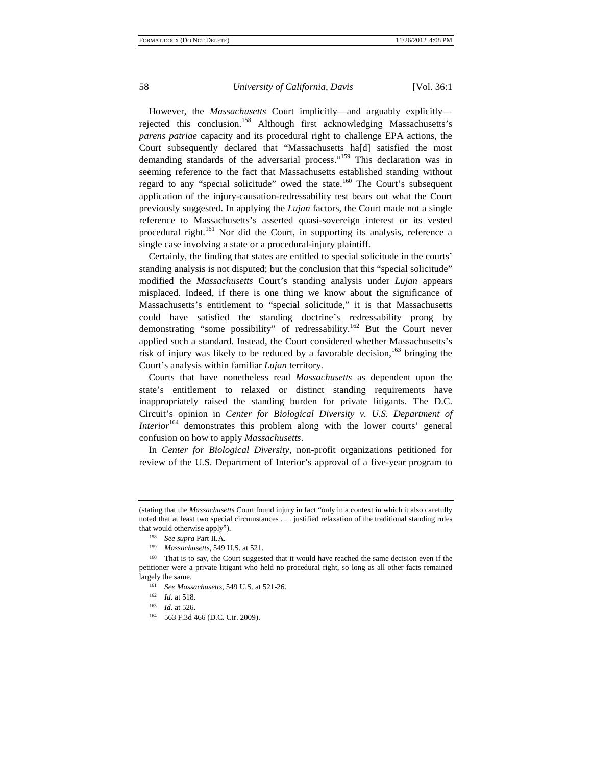However, the *Massachusetts* Court implicitly—and arguably explicitly rejected this conclusion.158 Although first acknowledging Massachusetts's *parens patriae* capacity and its procedural right to challenge EPA actions, the Court subsequently declared that "Massachusetts ha[d] satisfied the most demanding standards of the adversarial process."<sup>159</sup> This declaration was in seeming reference to the fact that Massachusetts established standing without regard to any "special solicitude" owed the state.<sup>160</sup> The Court's subsequent application of the injury-causation-redressability test bears out what the Court previously suggested. In applying the *Lujan* factors, the Court made not a single reference to Massachusetts's asserted quasi-sovereign interest or its vested procedural right.<sup>161</sup> Nor did the Court, in supporting its analysis, reference a single case involving a state or a procedural-injury plaintiff.

Certainly, the finding that states are entitled to special solicitude in the courts' standing analysis is not disputed; but the conclusion that this "special solicitude" modified the *Massachusetts* Court's standing analysis under *Lujan* appears misplaced. Indeed, if there is one thing we know about the significance of Massachusetts's entitlement to "special solicitude," it is that Massachusetts could have satisfied the standing doctrine's redressability prong by demonstrating "some possibility" of redressability.<sup>162</sup> But the Court never applied such a standard. Instead, the Court considered whether Massachusetts's risk of injury was likely to be reduced by a favorable decision,  $163$  bringing the Court's analysis within familiar *Lujan* territory.

Courts that have nonetheless read *Massachusetts* as dependent upon the state's entitlement to relaxed or distinct standing requirements have inappropriately raised the standing burden for private litigants. The D.C. Circuit's opinion in *Center for Biological Diversity v. U.S. Department of Interior*<sup>164</sup> demonstrates this problem along with the lower courts' general confusion on how to apply *Massachusetts*.

In *Center for Biological Diversity*, non-profit organizations petitioned for review of the U.S. Department of Interior's approval of a five-year program to

<sup>(</sup>stating that the *Massachusetts* Court found injury in fact "only in a context in which it also carefully noted that at least two special circumstances . . . justified relaxation of the traditional standing rules that would otherwise apply").

<sup>158</sup>*See supra* Part II.A. 159 *Massachusetts*, 549 U.S. at 521. 160 That is to say, the Court suggested that it would have reached the same decision even if the petitioner were a private litigant who held no procedural right, so long as all other facts remained largely the same. 161 *See Massachusetts*, 549 U.S. at 521-26. 162 *Id.* at 518. 163 *Id.* at 526. 164 563 F.3d 466 (D.C. Cir. 2009).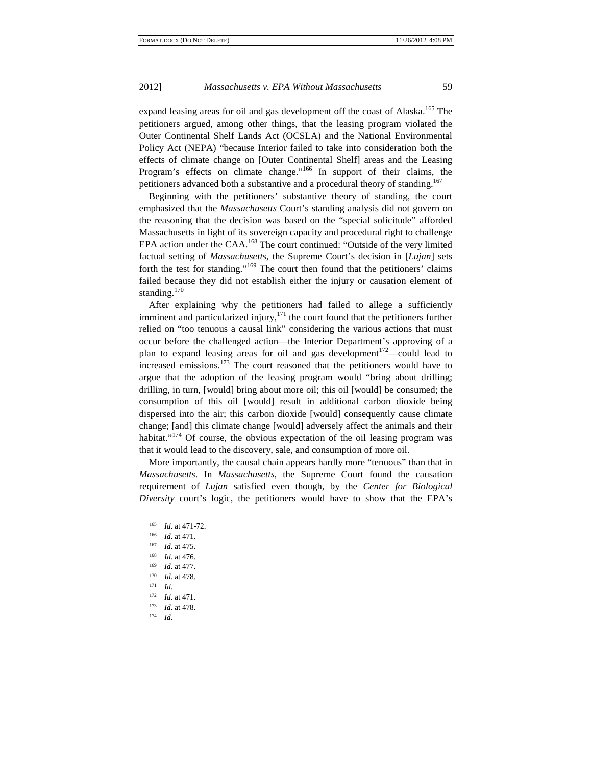expand leasing areas for oil and gas development off the coast of Alaska.<sup>165</sup> The petitioners argued, among other things, that the leasing program violated the Outer Continental Shelf Lands Act (OCSLA) and the National Environmental Policy Act (NEPA) "because Interior failed to take into consideration both the effects of climate change on [Outer Continental Shelf] areas and the Leasing Program's effects on climate change."<sup>166</sup> In support of their claims, the petitioners advanced both a substantive and a procedural theory of standing.<sup>167</sup>

Beginning with the petitioners' substantive theory of standing, the court emphasized that the *Massachusetts* Court's standing analysis did not govern on the reasoning that the decision was based on the "special solicitude" afforded Massachusetts in light of its sovereign capacity and procedural right to challenge EPA action under the CAA.<sup>168</sup> The court continued: "Outside of the very limited factual setting of *Massachusetts*, the Supreme Court's decision in [*Lujan*] sets forth the test for standing."<sup>169</sup> The court then found that the petitioners' claims failed because they did not establish either the injury or causation element of standing.<sup>170</sup>

After explaining why the petitioners had failed to allege a sufficiently imminent and particularized injury, $171$  the court found that the petitioners further relied on "too tenuous a causal link" considering the various actions that must occur before the challenged action—the Interior Department's approving of a plan to expand leasing areas for oil and gas development<sup>172</sup>—could lead to increased emissions.<sup>173</sup> The court reasoned that the petitioners would have to argue that the adoption of the leasing program would "bring about drilling; drilling, in turn, [would] bring about more oil; this oil [would] be consumed; the consumption of this oil [would] result in additional carbon dioxide being dispersed into the air; this carbon dioxide [would] consequently cause climate change; [and] this climate change [would] adversely affect the animals and their habitat."<sup>174</sup> Of course, the obvious expectation of the oil leasing program was that it would lead to the discovery, sale, and consumption of more oil.

More importantly, the causal chain appears hardly more "tenuous" than that in *Massachusetts*. In *Massachusetts*, the Supreme Court found the causation requirement of *Lujan* satisfied even though, by the *Center for Biological Diversity* court's logic, the petitioners would have to show that the EPA's

<sup>165</sup>*Id.* at 471-72. 166 *Id.* at 471. 167 *Id.* at 475. 168 *Id.* at 476.

<sup>169</sup> *Id.* at 477.

 $\frac{170}{171}$  *Id.* at 478.

*Id.* 

<sup>172</sup>*Id.* at 471. 173 *Id.* at 478. 174 *Id.*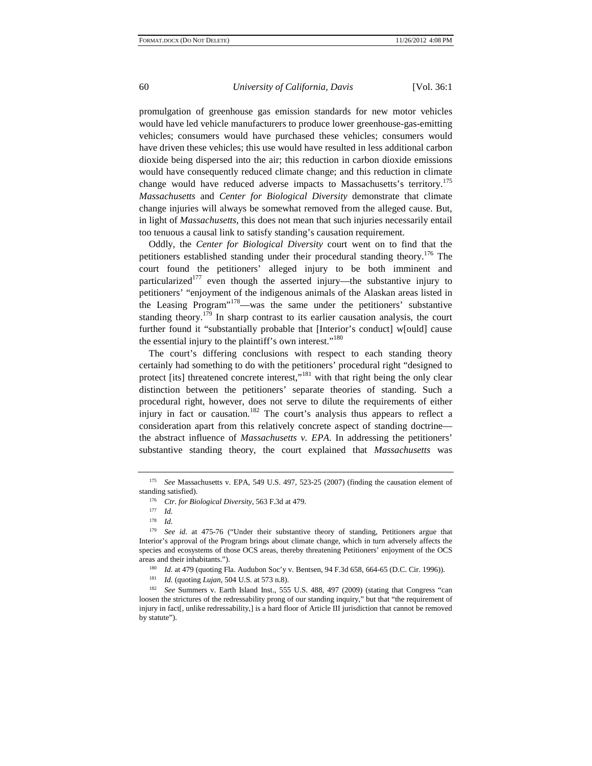promulgation of greenhouse gas emission standards for new motor vehicles

would have led vehicle manufacturers to produce lower greenhouse-gas-emitting vehicles; consumers would have purchased these vehicles; consumers would have driven these vehicles; this use would have resulted in less additional carbon dioxide being dispersed into the air; this reduction in carbon dioxide emissions would have consequently reduced climate change; and this reduction in climate change would have reduced adverse impacts to Massachusetts's territory.<sup>175</sup> *Massachusetts* and *Center for Biological Diversity* demonstrate that climate change injuries will always be somewhat removed from the alleged cause. But, in light of *Massachusetts*, this does not mean that such injuries necessarily entail too tenuous a causal link to satisfy standing's causation requirement.

Oddly, the *Center for Biological Diversity* court went on to find that the petitioners established standing under their procedural standing theory.176 The court found the petitioners' alleged injury to be both imminent and particularized<sup>177</sup> even though the asserted injury—the substantive injury to petitioners' "enjoyment of the indigenous animals of the Alaskan areas listed in the Leasing Program<sup> $178$ </sup>—was the same under the petitioners' substantive standing theory.<sup>179</sup> In sharp contrast to its earlier causation analysis, the court further found it "substantially probable that [Interior's conduct] w[ould] cause the essential injury to the plaintiff's own interest."<sup>180</sup>

The court's differing conclusions with respect to each standing theory certainly had something to do with the petitioners' procedural right "designed to protect [its] threatened concrete interest,"<sup>181</sup> with that right being the only clear distinction between the petitioners' separate theories of standing. Such a procedural right, however, does not serve to dilute the requirements of either injury in fact or causation.<sup>182</sup> The court's analysis thus appears to reflect a consideration apart from this relatively concrete aspect of standing doctrine the abstract influence of *Massachusetts v. EPA*. In addressing the petitioners' substantive standing theory, the court explained that *Massachusetts* was

<sup>175</sup> *See* Massachusetts v. EPA, 549 U.S. 497, 523-25 (2007) (finding the causation element of

standing satisfied).<br><sup>176</sup> *Ctr. for Biological Diversity*, 563 F.3d at 479.<br><sup>178</sup> *Id.* <sup>178</sup> *See id.* at 475-76 ("Under their substantive theory of standing, Petitioners argue that Interior's approval of the Program brings about climate change, which in turn adversely affects the species and ecosystems of those OCS areas, thereby threatening Petitioners' enjoyment of the OCS areas and their inhabitants.").<br>
<sup>180</sup> *Id.* at 479 (quoting Fla. Audubon Soc'y v. Bentsen, 94 F.3d 658, 664-65 (D.C. Cir. 1996)).<br>
<sup>181</sup> *Id.* (quoting *Lujan*, 504 U.S. at 573 n.8).<br>
<sup>182</sup> *See* Summers v. Earth Island I

loosen the strictures of the redressability prong of our standing inquiry," but that "the requirement of injury in fact[, unlike redressability,] is a hard floor of Article III jurisdiction that cannot be removed by statute").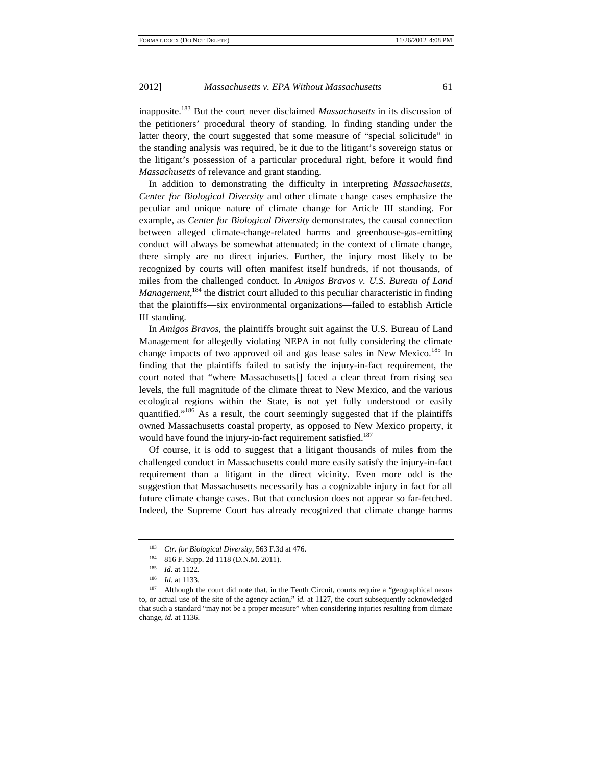inapposite.183 But the court never disclaimed *Massachusetts* in its discussion of the petitioners' procedural theory of standing. In finding standing under the latter theory, the court suggested that some measure of "special solicitude" in the standing analysis was required, be it due to the litigant's sovereign status or the litigant's possession of a particular procedural right, before it would find *Massachusetts* of relevance and grant standing.

In addition to demonstrating the difficulty in interpreting *Massachusetts*, *Center for Biological Diversity* and other climate change cases emphasize the peculiar and unique nature of climate change for Article III standing. For example, as *Center for Biological Diversity* demonstrates, the causal connection between alleged climate-change-related harms and greenhouse-gas-emitting conduct will always be somewhat attenuated; in the context of climate change, there simply are no direct injuries. Further, the injury most likely to be recognized by courts will often manifest itself hundreds, if not thousands, of miles from the challenged conduct. In *Amigos Bravos v. U.S. Bureau of Land*  Management,<sup>184</sup> the district court alluded to this peculiar characteristic in finding that the plaintiffs—six environmental organizations—failed to establish Article III standing.

In *Amigos Bravos*, the plaintiffs brought suit against the U.S. Bureau of Land Management for allegedly violating NEPA in not fully considering the climate change impacts of two approved oil and gas lease sales in New Mexico.<sup>185</sup> In finding that the plaintiffs failed to satisfy the injury-in-fact requirement, the court noted that "where Massachusetts[] faced a clear threat from rising sea levels, the full magnitude of the climate threat to New Mexico, and the various ecological regions within the State, is not yet fully understood or easily quantified."186 As a result, the court seemingly suggested that if the plaintiffs owned Massachusetts coastal property, as opposed to New Mexico property, it would have found the injury-in-fact requirement satisfied.<sup>187</sup>

Of course, it is odd to suggest that a litigant thousands of miles from the challenged conduct in Massachusetts could more easily satisfy the injury-in-fact requirement than a litigant in the direct vicinity. Even more odd is the suggestion that Massachusetts necessarily has a cognizable injury in fact for all future climate change cases. But that conclusion does not appear so far-fetched. Indeed, the Supreme Court has already recognized that climate change harms

<sup>&</sup>lt;sup>183</sup> *Ctr. for Biological Diversity*, 563 F.3d at 476.<br><sup>184</sup> 816 F. Supp. 2d 1118 (D.N.M. 2011).

<sup>185</sup> *Id.* at 1122.<br><sup>186</sup> *Id.* at 1133.<br><sup>187</sup> Although the court did note that, in the Tenth Circuit, courts require a "geographical nexus to, or actual use of the site of the agency action," *id.* at 1127, the court subsequently acknowledged that such a standard "may not be a proper measure" when considering injuries resulting from climate change, *id.* at 1136.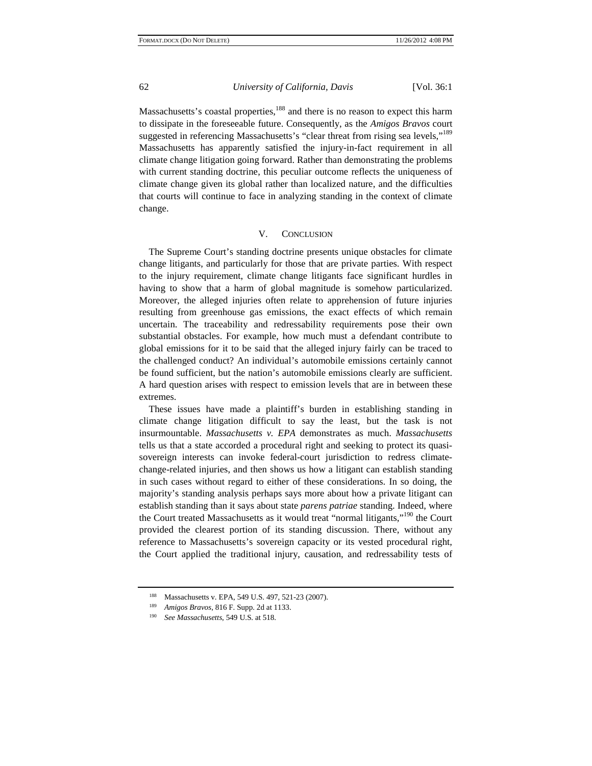Massachusetts's coastal properties,<sup>188</sup> and there is no reason to expect this harm to dissipate in the foreseeable future. Consequently, as the *Amigos Bravos* court suggested in referencing Massachusetts's "clear threat from rising sea levels,"<sup>189</sup> Massachusetts has apparently satisfied the injury-in-fact requirement in all climate change litigation going forward. Rather than demonstrating the problems with current standing doctrine, this peculiar outcome reflects the uniqueness of climate change given its global rather than localized nature, and the difficulties that courts will continue to face in analyzing standing in the context of climate change.

# V. CONCLUSION

The Supreme Court's standing doctrine presents unique obstacles for climate change litigants, and particularly for those that are private parties. With respect to the injury requirement, climate change litigants face significant hurdles in having to show that a harm of global magnitude is somehow particularized. Moreover, the alleged injuries often relate to apprehension of future injuries resulting from greenhouse gas emissions, the exact effects of which remain uncertain. The traceability and redressability requirements pose their own substantial obstacles. For example, how much must a defendant contribute to global emissions for it to be said that the alleged injury fairly can be traced to the challenged conduct? An individual's automobile emissions certainly cannot be found sufficient, but the nation's automobile emissions clearly are sufficient. A hard question arises with respect to emission levels that are in between these extremes.

These issues have made a plaintiff's burden in establishing standing in climate change litigation difficult to say the least, but the task is not insurmountable. *Massachusetts v. EPA* demonstrates as much. *Massachusetts* tells us that a state accorded a procedural right and seeking to protect its quasisovereign interests can invoke federal-court jurisdiction to redress climatechange-related injuries, and then shows us how a litigant can establish standing in such cases without regard to either of these considerations. In so doing, the majority's standing analysis perhaps says more about how a private litigant can establish standing than it says about state *parens patriae* standing. Indeed, where the Court treated Massachusetts as it would treat "normal litigants,"<sup>190</sup> the Court provided the clearest portion of its standing discussion. There, without any reference to Massachusetts's sovereign capacity or its vested procedural right, the Court applied the traditional injury, causation, and redressability tests of

<sup>188</sup> Massachusetts v. EPA, 549 U.S. 497, 521-23 (2007).

<sup>189</sup>*Amigos Bravos*, 816 F. Supp. 2d at 1133. 190 *See Massachusetts*, 549 U.S. at 518.